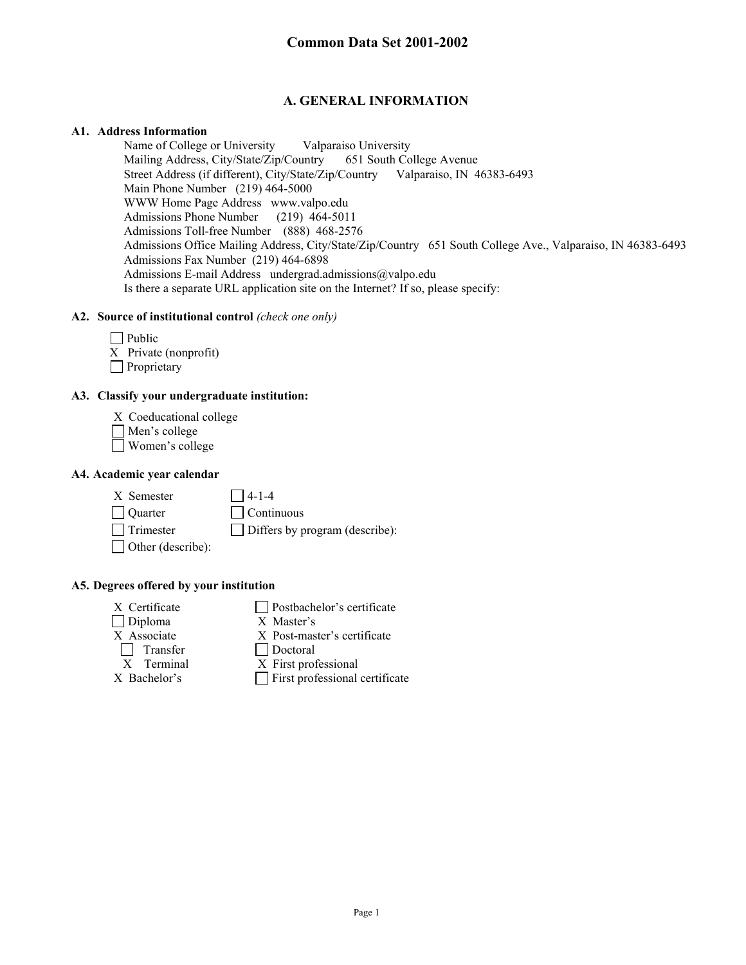## **A. GENERAL INFORMATION**

### **A1. Address Information**

Name of College or University<br>
Mailing Address, City/State/Zip/Country<br>
651 South College Avenue Mailing Address, City/State/Zip/Country Street Address (if different), City/State/Zip/Country Valparaiso, IN 46383-6493 Main Phone Number (219) 464-5000 WWW Home Page Address www.valpo.edu Admissions Phone Number (219) 464-5011 Admissions Toll-free Number (888) 468-2576 Admissions Office Mailing Address, City/State/Zip/Country 651 South College Ave., Valparaiso, IN 46383-6493 Admissions Fax Number (219) 464-6898 Admissions E-mail Address undergrad.admissions@valpo.edu Is there a separate URL application site on the Internet? If so, please specify:

## **A2. Source of institutional control** *(check one only)*

| $\Box$ Public         |
|-----------------------|
| X Private (nonprofit) |
| $\Box$ Proprietary    |

## **A3. Classify your undergraduate institution:**

- X Coeducational college
- Men's college
- Women's college

### **A4. Academic year calendar**

 $X$  Semester  $\Box$  4-1-4 Quarter Continuous  $\Box$  Trimester  $\Box$  Differs by program (describe):

- Other (describe):
- **A5. Degrees offered by your institution**
	- Diploma X Master's X Associate X Post-master's certificate Transfer Doctoral X Terminal X First professional
	- $X$  Certificate  $\Box$  Postbachelor's certificate
		-
		-
		-
	- $X$  Bachelor's  $\Box$  First professional certificate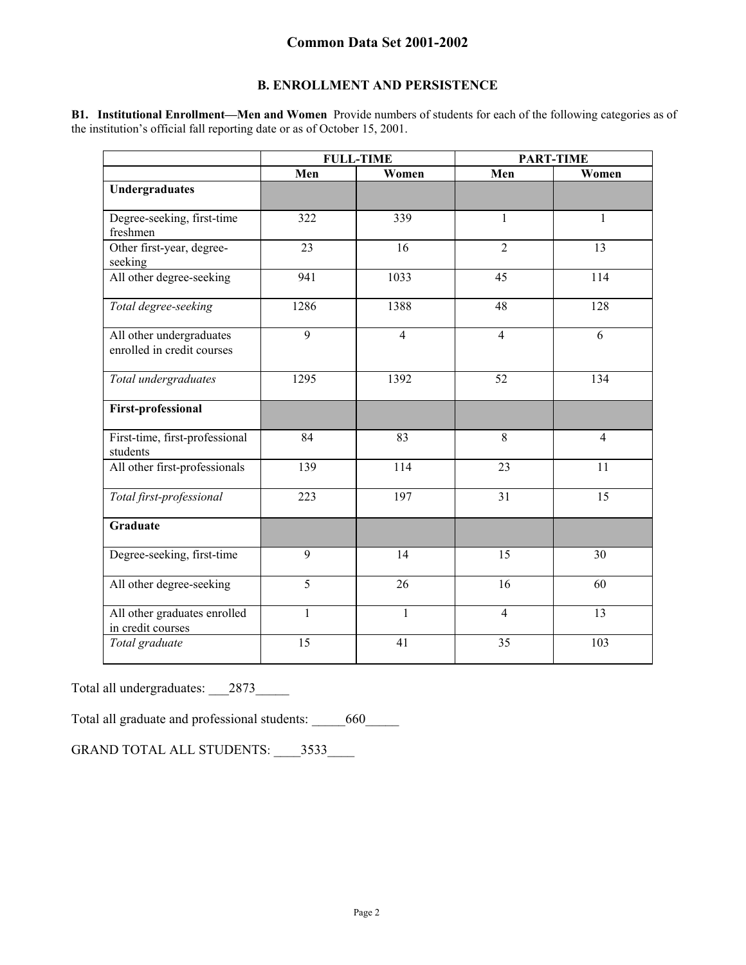## **B. ENROLLMENT AND PERSISTENCE**

**B1. Institutional Enrollment—Men and Women** Provide numbers of students for each of the following categories as of the institution's official fall reporting date or as of October 15, 2001.

|                                                        | <b>FULL-TIME</b> |                | <b>PART-TIME</b> |                |
|--------------------------------------------------------|------------------|----------------|------------------|----------------|
|                                                        | Men              | Women          | Men              | Women          |
| Undergraduates                                         |                  |                |                  |                |
| Degree-seeking, first-time<br>freshmen                 | 322              | 339            | $\mathbf{1}$     | $\mathbf{1}$   |
| Other first-year, degree-<br>seeking                   | 23               | 16             | $\overline{2}$   | 13             |
| All other degree-seeking                               | 941              | 1033           | 45               | 114            |
| Total degree-seeking                                   | 1286             | 1388           | 48               | 128            |
| All other undergraduates<br>enrolled in credit courses | 9                | $\overline{4}$ | $\overline{4}$   | 6              |
| Total undergraduates                                   | 1295             | 1392           | 52               | 134            |
| <b>First-professional</b>                              |                  |                |                  |                |
| First-time, first-professional<br>students             | 84               | 83             | 8                | $\overline{4}$ |
| All other first-professionals                          | 139              | 114            | 23               | 11             |
| Total first-professional                               | 223              | 197            | 31               | 15             |
| <b>Graduate</b>                                        |                  |                |                  |                |
| Degree-seeking, first-time                             | 9                | 14             | 15               | 30             |
| All other degree-seeking                               | $\overline{5}$   | 26             | 16               | 60             |
| All other graduates enrolled<br>in credit courses      | $\mathbf{1}$     | $\mathbf{1}$   | $\overline{4}$   | 13             |
| Total graduate                                         | 15               | 41             | 35               | 103            |

Total all undergraduates: \_\_\_2873\_\_\_\_\_\_

Total all graduate and professional students: \_\_\_\_\_\_660\_\_\_\_\_

GRAND TOTAL ALL STUDENTS: \_\_\_\_3533\_\_\_\_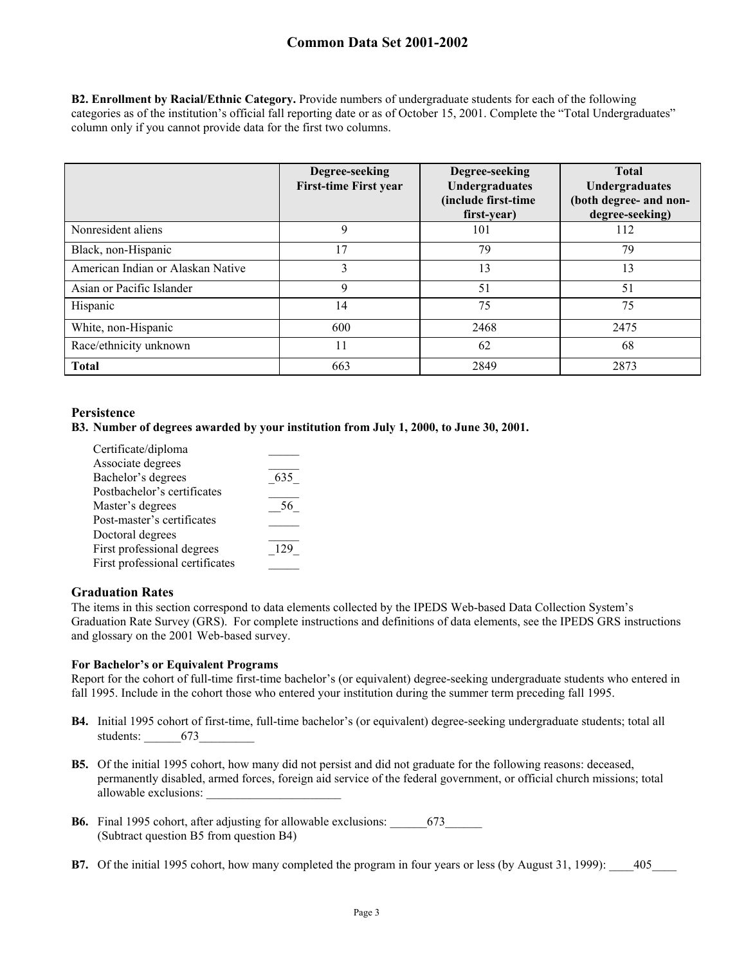**B2. Enrollment by Racial/Ethnic Category.** Provide numbers of undergraduate students for each of the following categories as of the institution's official fall reporting date or as of October 15, 2001. Complete the "Total Undergraduates" column only if you cannot provide data for the first two columns.

|                                   | Degree-seeking<br><b>First-time First year</b> | Degree-seeking<br>Undergraduates<br>(include first-time<br>first-year) | <b>Total</b><br>Undergraduates<br>(both degree- and non-<br>degree-seeking) |
|-----------------------------------|------------------------------------------------|------------------------------------------------------------------------|-----------------------------------------------------------------------------|
| Nonresident aliens                | 9                                              | 101                                                                    | 112                                                                         |
| Black, non-Hispanic               | 17                                             | 79                                                                     | 79                                                                          |
| American Indian or Alaskan Native | 3                                              | 13                                                                     | 13                                                                          |
| Asian or Pacific Islander         | Q                                              | 51                                                                     | 51                                                                          |
| Hispanic                          | 14                                             | 75                                                                     | 75                                                                          |
| White, non-Hispanic               | 600                                            | 2468                                                                   | 2475                                                                        |
| Race/ethnicity unknown            | 11                                             | 62                                                                     | 68                                                                          |
| <b>Total</b>                      | 663                                            | 2849                                                                   | 2873                                                                        |

## **Persistence**

### **B3. Number of degrees awarded by your institution from July 1, 2000, to June 30, 2001.**

| Certificate/diploma             |     |
|---------------------------------|-----|
| Associate degrees               |     |
| Bachelor's degrees              | 635 |
| Postbachelor's certificates     |     |
| Master's degrees                |     |
| Post-master's certificates      |     |
| Doctoral degrees                |     |
| First professional degrees      | 129 |
| First professional certificates |     |
|                                 |     |

### **Graduation Rates**

The items in this section correspond to data elements collected by the IPEDS Web-based Data Collection System's Graduation Rate Survey (GRS). For complete instructions and definitions of data elements, see the IPEDS GRS instructions and glossary on the 2001 Web-based survey.

### **For Bachelor's or Equivalent Programs**

Report for the cohort of full-time first-time bachelor's (or equivalent) degree-seeking undergraduate students who entered in fall 1995. Include in the cohort those who entered your institution during the summer term preceding fall 1995.

- **B4.** Initial 1995 cohort of first-time, full-time bachelor's (or equivalent) degree-seeking undergraduate students; total all students: 673
- **B5.** Of the initial 1995 cohort, how many did not persist and did not graduate for the following reasons: deceased, permanently disabled, armed forces, foreign aid service of the federal government, or official church missions; total allowable exclusions: \_\_\_\_\_\_\_\_\_\_\_\_\_\_\_\_\_\_\_\_\_\_
- **B6.** Final 1995 cohort, after adjusting for allowable exclusions: \_\_\_\_\_\_\_673\_\_\_\_\_\_\_ (Subtract question B5 from question B4)
- **B7.** Of the initial 1995 cohort, how many completed the program in four years or less (by August 31, 1999): \_\_\_\_405\_\_\_\_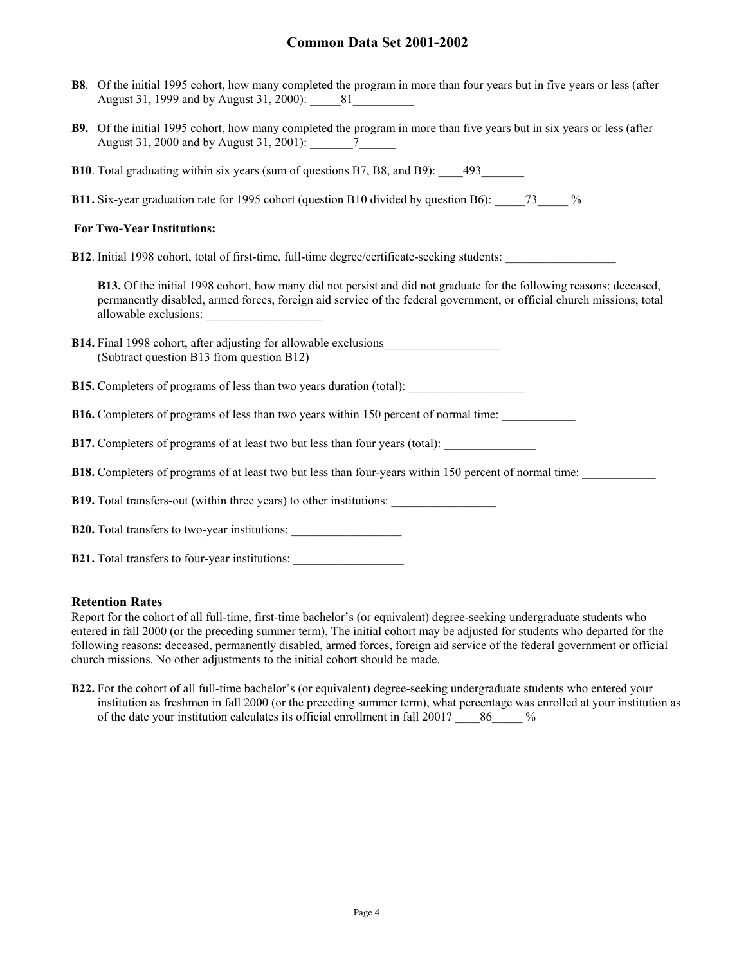- **B8**. Of the initial 1995 cohort, how many completed the program in more than four years but in five years or less (after August 31, 1999 and by August 31, 2000): 81
- **B9.** Of the initial 1995 cohort, how many completed the program in more than five years but in six years or less (after August 31, 2000 and by August 31, 2001): \_\_\_\_\_\_\_7\_\_\_\_\_\_
- **B10**. Total graduating within six years (sum of questions B7, B8, and B9):  $\qquad$  493
- **B11.** Six-year graduation rate for 1995 cohort (question B10 divided by question B6): \_\_\_\_\_73\_\_\_\_\_ %

### **For Two-Year Institutions:**

**B12**. Initial 1998 cohort, total of first-time, full-time degree/certificate-seeking students:

**B13.** Of the initial 1998 cohort, how many did not persist and did not graduate for the following reasons: deceased, permanently disabled, armed forces, foreign aid service of the federal government, or official church missions; total allowable exclusions:

| <b>B14.</b> Final 1998 cohort, after adjusting for allowable exclusions |  |
|-------------------------------------------------------------------------|--|
| (Subtract question B13 from question B12)                               |  |

- **B15.** Completers of programs of less than two years duration (total):
- **B16.** Completers of programs of less than two years within 150 percent of normal time:
- **B17.** Completers of programs of at least two but less than four years (total):
- **B18.** Completers of programs of at least two but less than four-years within 150 percent of normal time:

**B19.** Total transfers-out (within three years) to other institutions:

|  |  |  | <b>B20.</b> Total transfers to two-year institutions: |  |
|--|--|--|-------------------------------------------------------|--|
|--|--|--|-------------------------------------------------------|--|

|  |  |  |  |  | <b>B21.</b> Total transfers to four-year institutions: |  |
|--|--|--|--|--|--------------------------------------------------------|--|
|--|--|--|--|--|--------------------------------------------------------|--|

### **Retention Rates**

Report for the cohort of all full-time, first-time bachelor's (or equivalent) degree-seeking undergraduate students who entered in fall 2000 (or the preceding summer term). The initial cohort may be adjusted for students who departed for the following reasons: deceased, permanently disabled, armed forces, foreign aid service of the federal government or official church missions. No other adjustments to the initial cohort should be made.

**B22.** For the cohort of all full-time bachelor's (or equivalent) degree-seeking undergraduate students who entered your institution as freshmen in fall 2000 (or the preceding summer term), what percentage was enrolled at your institution as of the date your institution calculates its official enrollment in fall 2001? 86 %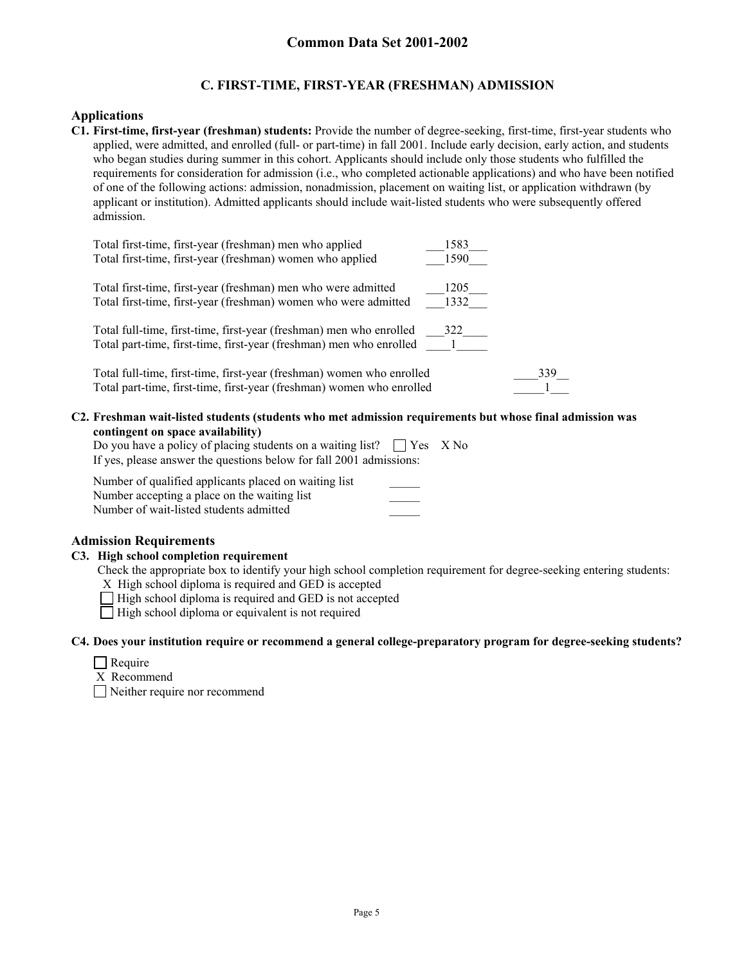## **C. FIRST-TIME, FIRST-YEAR (FRESHMAN) ADMISSION**

### **Applications**

**C1. First-time, first-year (freshman) students:** Provide the number of degree-seeking, first-time, first-year students who applied, were admitted, and enrolled (full- or part-time) in fall 2001. Include early decision, early action, and students who began studies during summer in this cohort. Applicants should include only those students who fulfilled the requirements for consideration for admission (i.e., who completed actionable applications) and who have been notified of one of the following actions: admission, nonadmission, placement on waiting list, or application withdrawn (by applicant or institution). Admitted applicants should include wait-listed students who were subsequently offered admission.

| Total first-time, first-year (freshman) men who applied               | 1583 |
|-----------------------------------------------------------------------|------|
| Total first-time, first-year (freshman) women who applied             | 1590 |
| Total first-time, first-year (freshman) men who were admitted         | 1205 |
| Total first-time, first-year (freshman) women who were admitted       | 1332 |
| Total full-time, first-time, first-year (freshman) men who enrolled   | 322  |
| Total part-time, first-time, first-year (freshman) men who enrolled   |      |
| Total full-time, first-time, first-year (freshman) women who enrolled | 339  |
| Total part-time, first-time, first-year (freshman) women who enrolled |      |

**C2. Freshman wait-listed students (students who met admission requirements but whose final admission was contingent on space availability)**

| Do you have a policy of placing students on a waiting list? $\Box$ Yes X No |  |
|-----------------------------------------------------------------------------|--|
| If yes, please answer the questions below for fall 2001 admissions:         |  |

| Number of qualified applicants placed on waiting list |  |
|-------------------------------------------------------|--|
| Number accepting a place on the waiting list          |  |
| Number of wait-listed students admitted               |  |

## **Admission Requirements**

### **C3. High school completion requirement**

Check the appropriate box to identify your high school completion requirement for degree-seeking entering students:

- X High school diploma is required and GED is accepted
- $\Box$  High school diploma is required and GED is not accepted
- $\Box$  High school diploma or equivalent is not required

### **C4. Does your institution require or recommend a general college-preparatory program for degree-seeking students?**

|  | еашт |
|--|------|
|--|------|

- X Recommend
- Neither require nor recommend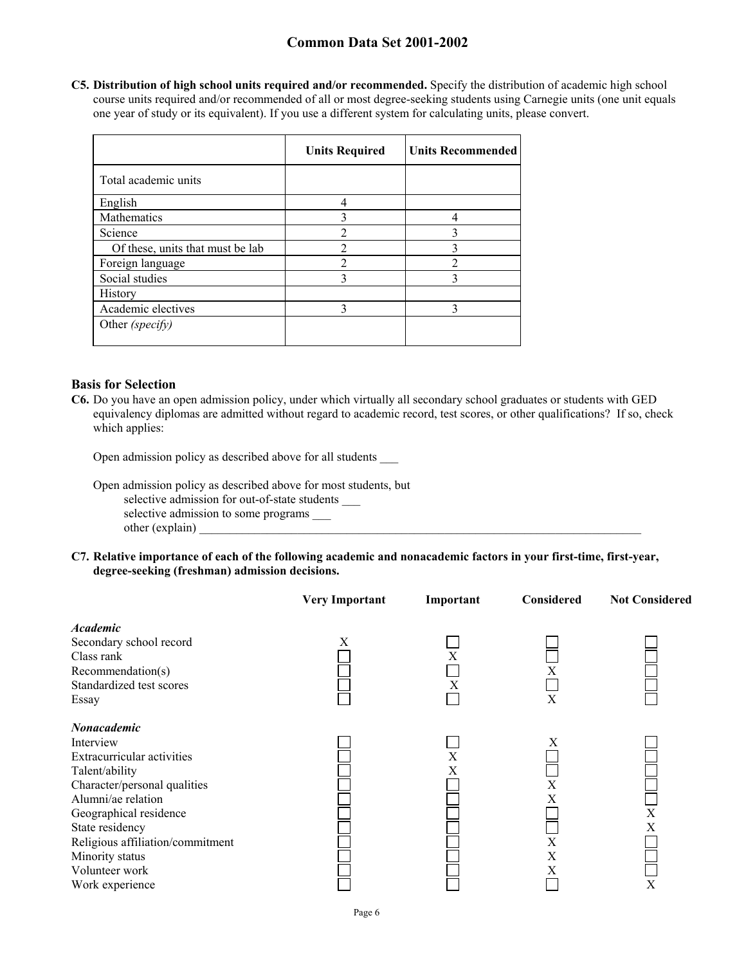**C5. Distribution of high school units required and/or recommended.** Specify the distribution of academic high school course units required and/or recommended of all or most degree-seeking students using Carnegie units (one unit equals one year of study or its equivalent). If you use a different system for calculating units, please convert.

|                                  | <b>Units Required</b> | <b>Units Recommended</b> |
|----------------------------------|-----------------------|--------------------------|
| Total academic units             |                       |                          |
| English                          |                       |                          |
| Mathematics                      |                       |                          |
| Science                          |                       |                          |
| Of these, units that must be lab | $\overline{2}$        |                          |
| Foreign language                 |                       |                          |
| Social studies                   | 3                     |                          |
| History                          |                       |                          |
| Academic electives               | ζ                     |                          |
| Other (specify)                  |                       |                          |

### **Basis for Selection**

**C6.** Do you have an open admission policy, under which virtually all secondary school graduates or students with GED equivalency diplomas are admitted without regard to academic record, test scores, or other qualifications? If so, check which applies:

Open admission policy as described above for all students \_\_\_

Open admission policy as described above for most students, but

selective admission for out-of-state students

selective admission to some programs \_\_\_

- other (explain)
- **C7. Relative importance of each of the following academic and nonacademic factors in your first-time, first-year, degree-seeking (freshman) admission decisions.**

|                                  | <b>Very Important</b> | Important | Considered | <b>Not Considered</b> |
|----------------------------------|-----------------------|-----------|------------|-----------------------|
| <b>Academic</b>                  |                       |           |            |                       |
| Secondary school record          | X                     |           |            |                       |
| Class rank                       |                       | X         |            |                       |
| Recommendation(s)                |                       |           | Х          |                       |
| Standardized test scores         |                       | X         |            |                       |
| Essay                            |                       |           | X          |                       |
| Nonacademic                      |                       |           |            |                       |
| Interview                        |                       |           | X          |                       |
| Extracurricular activities       |                       | X         |            |                       |
| Talent/ability                   |                       | Χ         |            |                       |
| Character/personal qualities     |                       |           | X          |                       |
| Alumni/ae relation               |                       |           | X          |                       |
| Geographical residence           |                       |           |            | X                     |
| State residency                  |                       |           |            | Χ                     |
| Religious affiliation/commitment |                       |           | X          |                       |
| Minority status                  |                       |           | X          |                       |
| Volunteer work                   |                       |           | Χ          |                       |
| Work experience                  |                       |           |            | X                     |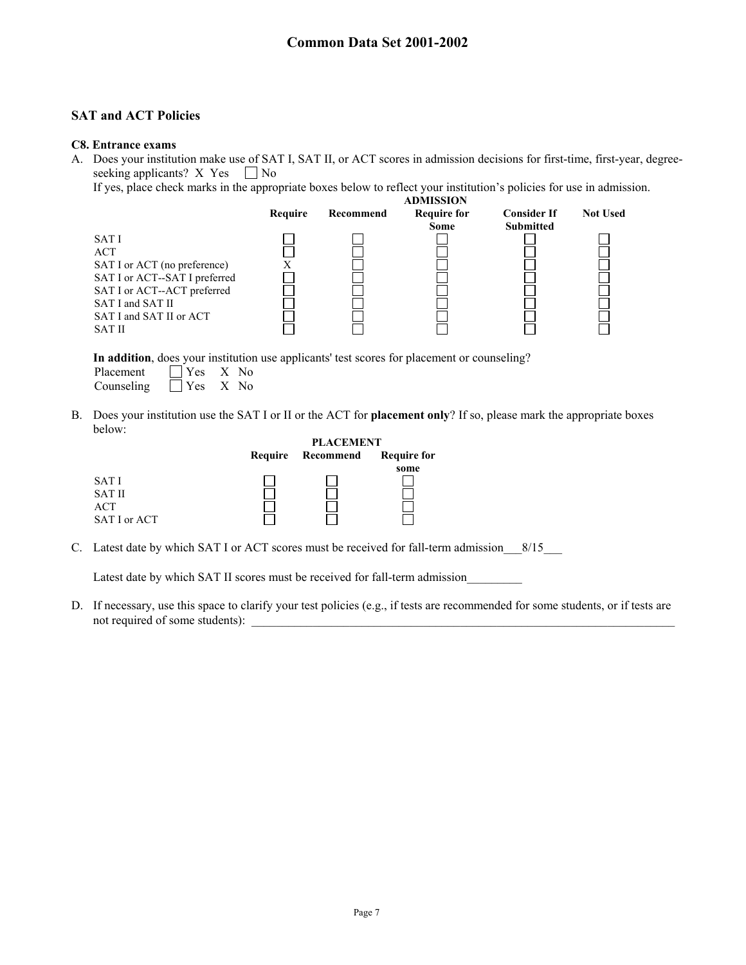## **SAT and ACT Policies**

#### **C8. Entrance exams**

A. Does your institution make use of SAT I, SAT II, or ACT scores in admission decisions for first-time, first-year, degreeseeking applicants? X Yes  $\Box$  No

If yes, place check marks in the appropriate boxes below to reflect your institution's policies for use in admission.



**In addition**, does your institution use applicants' test scores for placement or counseling? Placement  $\Box$  Yes X No Counseling  $\Box$  Yes X No

B. Does your institution use the SAT I or II or the ACT for **placement only**? If so, please mark the appropriate boxes below:

|               |         | <b>PLACEMENT</b> |                    |  |
|---------------|---------|------------------|--------------------|--|
|               | Require | Recommend        | <b>Require for</b> |  |
|               |         |                  | some               |  |
| SAT I         |         |                  |                    |  |
| <b>SAT II</b> |         |                  |                    |  |
| <b>ACT</b>    |         |                  |                    |  |
| SAT I or ACT  |         |                  |                    |  |

C. Latest date by which SAT I or ACT scores must be received for fall-term admission 8/15

Latest date by which SAT II scores must be received for fall-term admission

D. If necessary, use this space to clarify your test policies (e.g., if tests are recommended for some students, or if tests are not required of some students):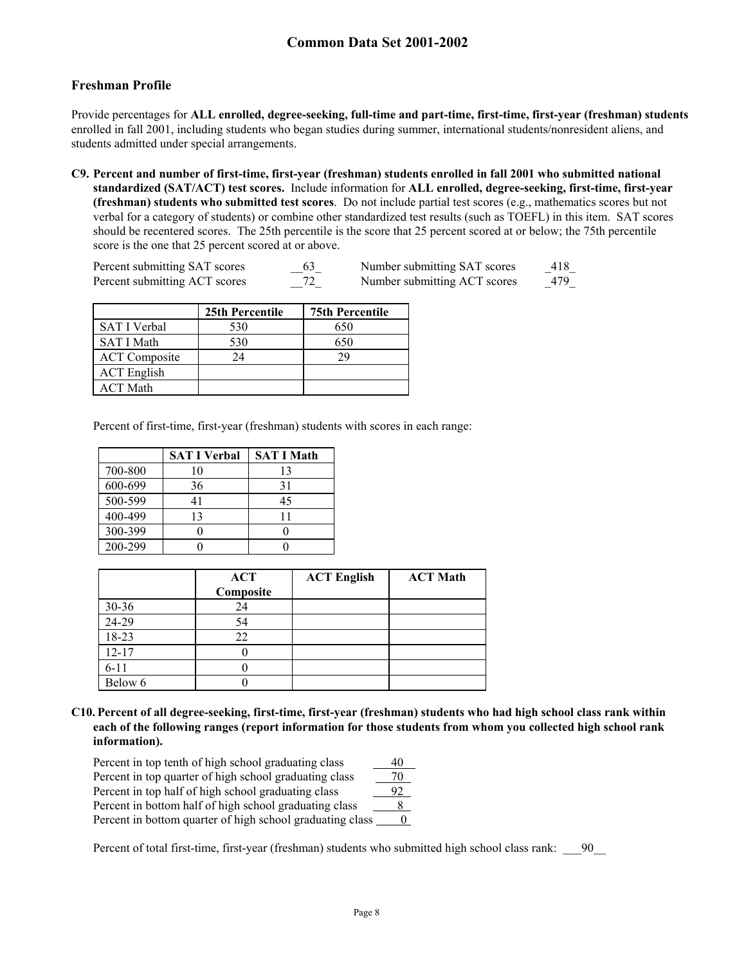## **Freshman Profile**

Provide percentages for **ALL enrolled, degree-seeking, full-time and part-time, first-time, first-year (freshman) students** enrolled in fall 2001, including students who began studies during summer, international students/nonresident aliens, and students admitted under special arrangements.

**C9. Percent and number of first-time, first-year (freshman) students enrolled in fall 2001 who submitted national standardized (SAT/ACT) test scores.** Include information for **ALL enrolled, degree-seeking, first-time, first-year (freshman) students who submitted test scores**. Do not include partial test scores (e.g., mathematics scores but not verbal for a category of students) or combine other standardized test results (such as TOEFL) in this item. SAT scores should be recentered scores. The 25th percentile is the score that 25 percent scored at or below; the 75th percentile score is the one that 25 percent scored at or above.

| Percent submitting SAT scores | 63 | Number submitting SAT scores | 418 |
|-------------------------------|----|------------------------------|-----|
| Percent submitting ACT scores |    | Number submitting ACT scores | 479 |

|                      | 25th Percentile | <b>75th Percentile</b> |
|----------------------|-----------------|------------------------|
| <b>SAT I Verbal</b>  | 530             | 650                    |
| <b>SAT I Math</b>    | 530             | 650                    |
| <b>ACT</b> Composite | 24              | 29                     |
| <b>ACT</b> English   |                 |                        |
| <b>ACT</b> Math      |                 |                        |

Percent of first-time, first-year (freshman) students with scores in each range:

|         | <b>SAT I Verbal</b> | <b>SAT I Math</b> |
|---------|---------------------|-------------------|
| 700-800 | 10                  | 13                |
| 600-699 | 36                  | 31                |
| 500-599 | 41                  | 45                |
| 400-499 | 13                  | 11                |
| 300-399 |                     |                   |
| 200-299 |                     |                   |

|           | <b>ACT</b> | <b>ACT English</b> | <b>ACT Math</b> |
|-----------|------------|--------------------|-----------------|
|           | Composite  |                    |                 |
| $30 - 36$ | 24         |                    |                 |
| 24-29     | 54         |                    |                 |
| 18-23     | 22         |                    |                 |
| $12 - 17$ |            |                    |                 |
| $6 - 11$  |            |                    |                 |
| Below 6   |            |                    |                 |

**C10. Percent of all degree-seeking, first-time, first-year (freshman) students who had high school class rank within each of the following ranges (report information for those students from whom you collected high school rank information).**

| Percent in top tenth of high school graduating class      | 40 |
|-----------------------------------------------------------|----|
| Percent in top quarter of high school graduating class    |    |
| Percent in top half of high school graduating class       | 92 |
| Percent in bottom half of high school graduating class    |    |
| Percent in bottom quarter of high school graduating class |    |

Percent of total first-time, first-year (freshman) students who submitted high school class rank: \_\_\_90\_\_\_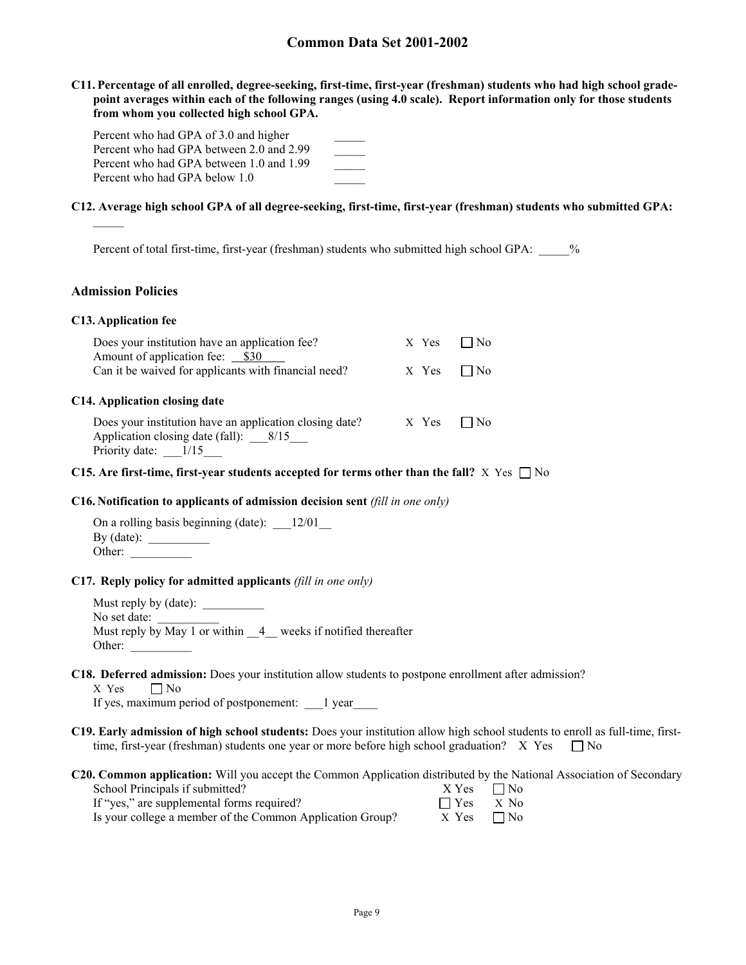**C11. Percentage of all enrolled, degree-seeking, first-time, first-year (freshman) students who had high school gradepoint averages within each of the following ranges (using 4.0 scale). Report information only for those students from whom you collected high school GPA.**

| Percent who had GPA of 3.0 and higher    |  |
|------------------------------------------|--|
| Percent who had GPA between 2.0 and 2.99 |  |
| Percent who had GPA between 1.0 and 1.99 |  |
| Percent who had GPA below 1.0            |  |

#### **C12. Average high school GPA of all degree-seeking, first-time, first-year (freshman) students who submitted GPA:**

Percent of total first-time, first-year (freshman) students who submitted high school GPA:  $\frac{1}{2}$ %

#### **Admission Policies**

#### **C13. Application fee**

| Does your institution have an application fee?<br>Amount of application fee: __ \$30                                        | X Yes | No  |  |
|-----------------------------------------------------------------------------------------------------------------------------|-------|-----|--|
| Can it be waived for applicants with financial need?                                                                        | X Yes | No. |  |
| C14. Application closing date                                                                                               |       |     |  |
| Does your institution have an application closing date?<br>Application closing date (fall): $8/15$<br>Priority date: $1/15$ | X Yes | No  |  |

#### **C15.** Are first-time, first-year students accepted for terms other than the fall?  $X$  Yes  $\Box$  No

#### **C16. Notification to applicants of admission decision sent** *(fill in one only)*

| On a rolling basis beginning (date): | 12/01 |
|--------------------------------------|-------|
| By $(data)$ :                        |       |
| Other:                               |       |

#### **C17. Reply policy for admitted applicants** *(fill in one only)*

Must reply by (date): \_\_\_\_\_\_\_\_\_\_ No set date: Must reply by May 1 or within  $\frac{4}{4}$  weeks if notified thereafter Other:

#### **C18. Deferred admission:** Does your institution allow students to postpone enrollment after admission?  $X$  Yes  $\Box$  No

If yes, maximum period of postponement: \_\_\_1 year\_\_\_\_

- **C19. Early admission of high school students:** Does your institution allow high school students to enroll as full-time, firsttime, first-year (freshman) students one year or more before high school graduation? X Yes  $\Box$  No
- **C20. Common application:** Will you accept the Common Application distributed by the National Association of Secondary

| School Principals if submitted?                           | $X Yes \square No$ |  |
|-----------------------------------------------------------|--------------------|--|
| If "yes," are supplemental forms required?                | $\Box$ Yes $X$ No  |  |
| Is your college a member of the Common Application Group? | $X$ Yes $\neg$ No  |  |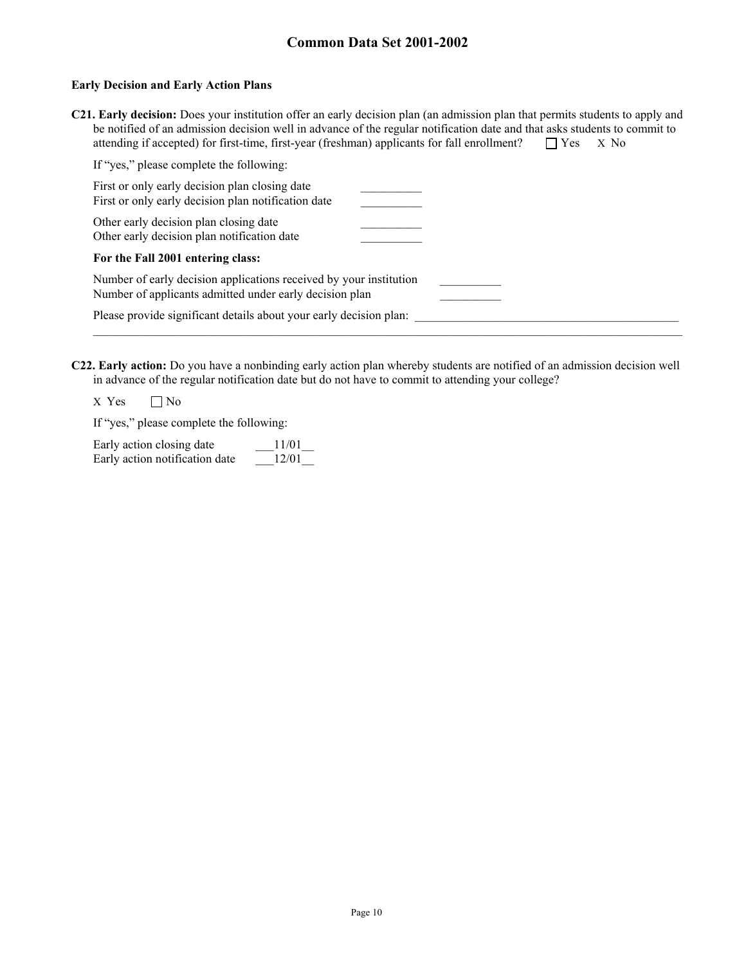#### **Early Decision and Early Action Plans**

| C21. Early decision: Does your institution offer an early decision plan (an admission plan that permits students to apply and |  |
|-------------------------------------------------------------------------------------------------------------------------------|--|
| be notified of an admission decision well in advance of the regular notification date and that asks students to commit to     |  |
| attending if accepted) for first-time, first-year (freshman) applicants for fall enrollment? $\Box$ Yes $\Box$ X No           |  |

| If "yes," please complete the following:                                                                                      |  |
|-------------------------------------------------------------------------------------------------------------------------------|--|
| First or only early decision plan closing date<br>First or only early decision plan notification date                         |  |
| Other early decision plan closing date<br>Other early decision plan notification date                                         |  |
| For the Fall 2001 entering class:                                                                                             |  |
| Number of early decision applications received by your institution<br>Number of applicants admitted under early decision plan |  |
| Please provide significant details about your early decision plan:                                                            |  |
|                                                                                                                               |  |

**C22. Early action:** Do you have a nonbinding early action plan whereby students are notified of an admission decision well in advance of the regular notification date but do not have to commit to attending your college?

 $X$  Yes  $\Box$  No

If "yes," please complete the following:

| Early action closing date      | 11/01 |
|--------------------------------|-------|
| Early action notification date | 12/01 |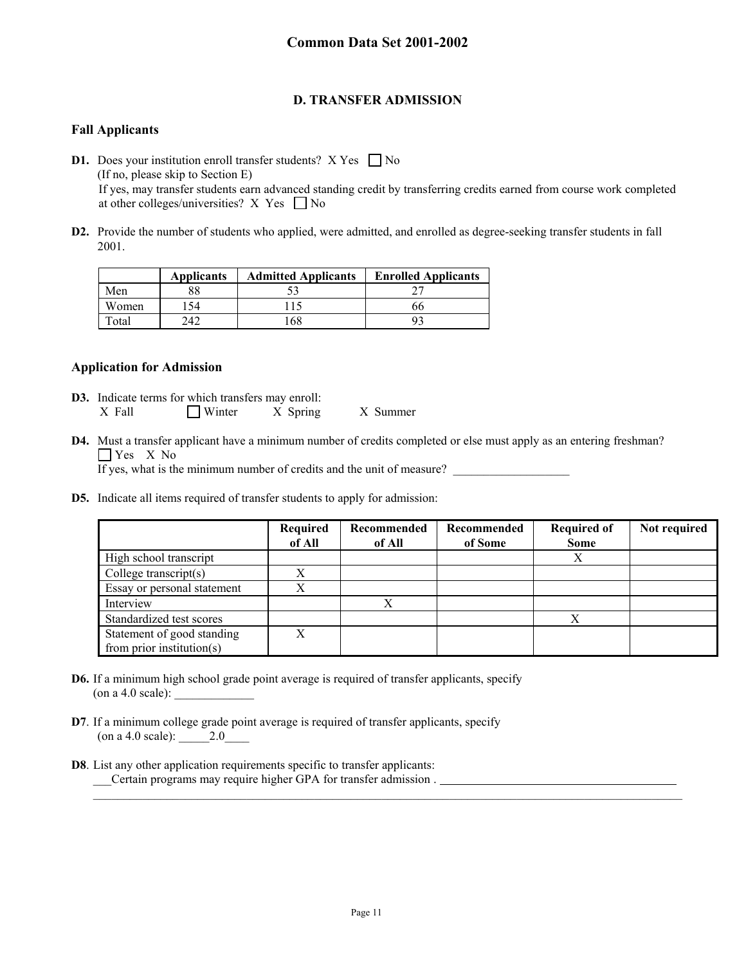## **D. TRANSFER ADMISSION**

## **Fall Applicants**

**D1.** Does your institution enroll transfer students?  $X$  Yes  $\Box$  No (If no, please skip to Section E) If yes, may transfer students earn advanced standing credit by transferring credits earned from course work completed at other colleges/universities? X Yes  $\Box$  No

**D2.** Provide the number of students who applied, were admitted, and enrolled as degree-seeking transfer students in fall 2001.

|       | <b>Applicants</b> | <b>Admitted Applicants</b> | <b>Enrolled Applicants</b> |
|-------|-------------------|----------------------------|----------------------------|
| Men   |                   |                            |                            |
| Women | 54                |                            | hh                         |
| `otal | ר גר              | '68                        |                            |

## **Application for Admission**

- **D3.** Indicate terms for which transfers may enroll: X Fall Winter X Spring X Summer
- **D4.** Must a transfer applicant have a minimum number of credits completed or else must apply as an entering freshman? **T** Yes X No

If yes, what is the minimum number of credits and the unit of measure?

**D5.** Indicate all items required of transfer students to apply for admission:

|                             | Required<br>of All | Recommended<br>of All | Recommended<br>of Some | <b>Required of</b><br><b>Some</b> | Not required |
|-----------------------------|--------------------|-----------------------|------------------------|-----------------------------------|--------------|
| High school transcript      |                    |                       |                        |                                   |              |
| College transcript(s)       | X                  |                       |                        |                                   |              |
| Essay or personal statement | Х                  |                       |                        |                                   |              |
| Interview                   |                    |                       |                        |                                   |              |
| Standardized test scores    |                    |                       |                        |                                   |              |
| Statement of good standing  | X                  |                       |                        |                                   |              |
| from prior institution(s)   |                    |                       |                        |                                   |              |

- **D6.** If a minimum high school grade point average is required of transfer applicants, specify (on a 4.0 scale):
- **D7**. If a minimum college grade point average is required of transfer applicants, specify (on a 4.0 scale): \_\_\_\_\_2.0\_\_\_\_
- **D8**. List any other application requirements specific to transfer applicants: \_\_\_Certain programs may require higher GPA for transfer admission .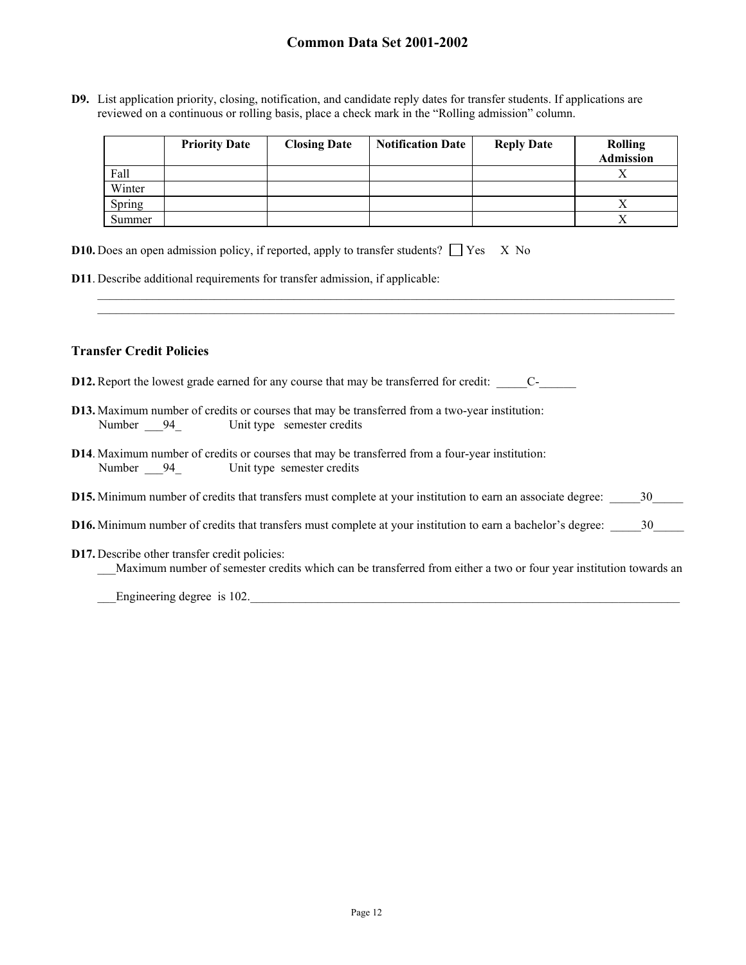**D9.** List application priority, closing, notification, and candidate reply dates for transfer students. If applications are reviewed on a continuous or rolling basis, place a check mark in the "Rolling admission" column.

|        | <b>Priority Date</b> | <b>Closing Date</b> | <b>Notification Date</b> | <b>Reply Date</b> | <b>Rolling</b><br><b>Admission</b> |
|--------|----------------------|---------------------|--------------------------|-------------------|------------------------------------|
| Fall   |                      |                     |                          |                   |                                    |
| Winter |                      |                     |                          |                   |                                    |
| Spring |                      |                     |                          |                   |                                    |
| Summer |                      |                     |                          |                   |                                    |

 $\mathcal{L}_\mathcal{L} = \mathcal{L}_\mathcal{L}$ 

| <b>D10.</b> Does an open admission policy, if reported, apply to transfer students? $\Box$ Yes X No |  |  |  |  |  |
|-----------------------------------------------------------------------------------------------------|--|--|--|--|--|
|-----------------------------------------------------------------------------------------------------|--|--|--|--|--|

**D11**. Describe additional requirements for transfer admission, if applicable:

### **Transfer Credit Policies**

- **D12.** Report the lowest grade earned for any course that may be transferred for credit: C-
- **D13.** Maximum number of credits or courses that may be transferred from a two-year institution: Number 24 Unit type semester credits
- **D14**. Maximum number of credits or courses that may be transferred from a four-year institution: Number 94 Unit type semester credits
- **D15.** Minimum number of credits that transfers must complete at your institution to earn an associate degree: \_\_\_\_\_\_30\_\_\_\_\_
- **D16.** Minimum number of credits that transfers must complete at your institution to earn a bachelor's degree:  $\frac{30}{20}$
- **D17.** Describe other transfer credit policies:
	- Maximum number of semester credits which can be transferred from either a two or four year institution towards an

Engineering degree is 102.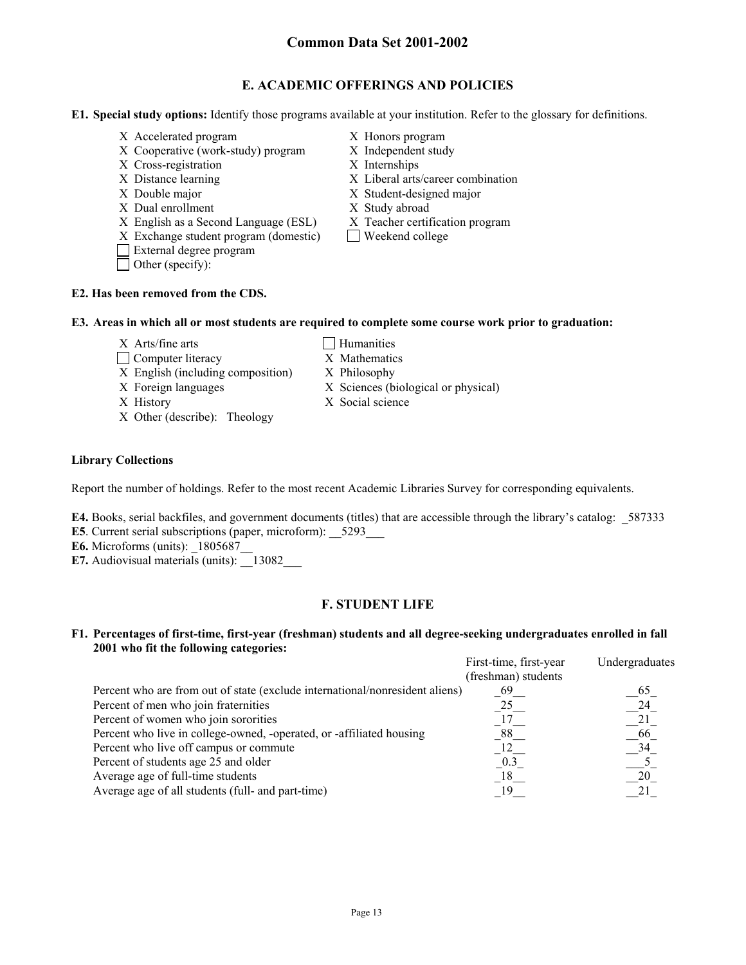## **E. ACADEMIC OFFERINGS AND POLICIES**

**E1. Special study options:** Identify those programs available at your institution. Refer to the glossary for definitions.

- X Accelerated program X Honors program
- X Cooperative (work-study) program X Independent study
- X Cross-registration X Internships
- 
- 
- X Dual enrollment X Study abroad
- X English as a Second Language (ESL) X Teacher certification program
- $X$  Exchange student program (domestic)  $\Box$  Weekend college
- External degree program
- □ Other (specify):
- 
- 
- 
- X Distance learning X Liberal arts/career combination
- X Double major X Student-designed major
	-
	-
	-

## **E2. Has been removed from the CDS.**

### **E3. Areas in which all or most students are required to complete some course work prior to graduation:**

- $X$  Arts/fine arts  $\Box$  Humanities
- □ Computer literacy X Mathematics
- X English (including composition) X Philosophy
- X Foreign languages X Sciences (biological or physical)
- X History X Social science
- X Other (describe): Theology

## **Library Collections**

Report the number of holdings. Refer to the most recent Academic Libraries Survey for corresponding equivalents.

- **E4.** Books, serial backfiles, and government documents (titles) that are accessible through the library's catalog: 587333
- **E5**. Current serial subscriptions (paper, microform): 5293
- **E6.** Microforms (units):  $1805687$
- **E7.** Audiovisual materials (units):  $\qquad$  13082

## **F. STUDENT LIFE**

## **F1. Percentages of first-time, first-year (freshman) students and all degree-seeking undergraduates enrolled in fall 2001 who fit the following categories:**

|                                                                              | First-time, first-year | Undergraduates |
|------------------------------------------------------------------------------|------------------------|----------------|
|                                                                              | (freshman) students    |                |
| Percent who are from out of state (exclude international/nonresident aliens) | 69                     | 65             |
| Percent of men who join fraternities                                         | 25                     | 24             |
| Percent of women who join sororities                                         |                        |                |
| Percent who live in college-owned, -operated, or -affiliated housing         |                        | 66             |
| Percent who live off campus or commute                                       |                        | 34             |
| Percent of students age 25 and older                                         |                        |                |
| Average age of full-time students                                            | 18                     | 20             |
| Average age of all students (full- and part-time)                            |                        |                |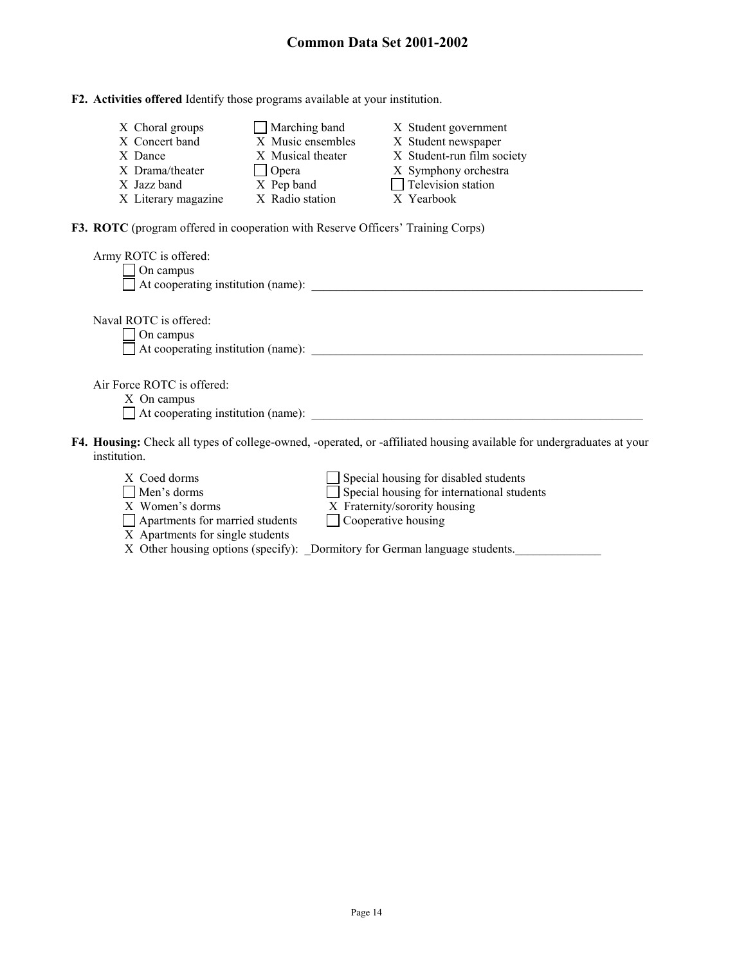|  |  |  | F2. Activities offered Identify those programs available at your institution. |
|--|--|--|-------------------------------------------------------------------------------|
|  |  |  |                                                                               |

| X Choral groups     | $\Box$ Marching band | X Student government       |
|---------------------|----------------------|----------------------------|
| X Concert band      | X Music ensembles    | X Student newspaper        |
| X Dance             | X Musical theater    | X Student-run film society |
| X Drama/theater     | $\Box$ Opera         | X Symphony orchestra       |
| X Jazz band         | X Pep band           | $\Box$ Television station  |
| X Literary magazine | X Radio station      | X Yearbook                 |

**F3. ROTC** (program offered in cooperation with Reserve Officers' Training Corps)

| Army ROTC is offered:<br>On campus<br>At cooperating institution (name):                                                                     |
|----------------------------------------------------------------------------------------------------------------------------------------------|
| Naval ROTC is offered:<br>On campus                                                                                                          |
| $\Box$ At cooperating institution (name):                                                                                                    |
| Air Force ROTC is offered:                                                                                                                   |
| X On campus<br>$\Box$ At cooperating institution (name):                                                                                     |
|                                                                                                                                              |
| <b>F4. Housing:</b> Check all types of college-owned, -operated, or -affiliated housing available for undergraduates at your<br>institution. |
| Special housing for disabled students<br>Special housing for international students<br>X Coed dorms<br>$Mon'g dormg$                         |

| <i>IV</i> COOM HOTHIS                  | $\Box$ DDCCRI HOUSING TOT UISHOICH SHIUCHIS                                |
|----------------------------------------|----------------------------------------------------------------------------|
| $\Box$ Men's dorms                     | $\Box$ Special housing for international students                          |
| X Women's dorms                        | X Fraternity/sorority housing                                              |
| $\Box$ Apartments for married students | $\Box$ Cooperative housing                                                 |
| X Apartments for single students       |                                                                            |
|                                        | X Other housing options (specify): Dormitory for German language students. |
|                                        |                                                                            |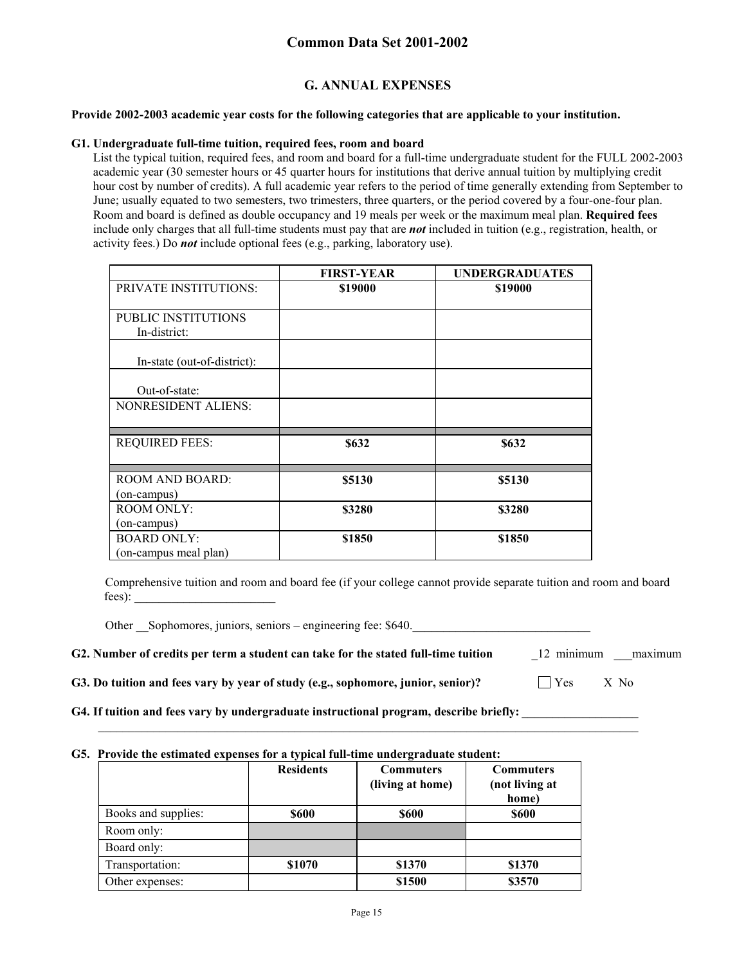## **G. ANNUAL EXPENSES**

### **Provide 2002-2003 academic year costs for the following categories that are applicable to your institution.**

#### **G1. Undergraduate full-time tuition, required fees, room and board**

List the typical tuition, required fees, and room and board for a full-time undergraduate student for the FULL 2002-2003 academic year (30 semester hours or 45 quarter hours for institutions that derive annual tuition by multiplying credit hour cost by number of credits). A full academic year refers to the period of time generally extending from September to June; usually equated to two semesters, two trimesters, three quarters, or the period covered by a four-one-four plan. Room and board is defined as double occupancy and 19 meals per week or the maximum meal plan. **Required fees** include only charges that all full-time students must pay that are *not* included in tuition (e.g., registration, health, or activity fees.) Do *not* include optional fees (e.g., parking, laboratory use).

|                                   | <b>FIRST-YEAR</b> | <b>UNDERGRADUATES</b> |
|-----------------------------------|-------------------|-----------------------|
| <b>PRIVATE INSTITUTIONS:</b>      | \$19000           | \$19000               |
| <b>PUBLIC INSTITUTIONS</b>        |                   |                       |
| In-district:                      |                   |                       |
| In-state (out-of-district):       |                   |                       |
| Out-of-state:                     |                   |                       |
| NONRESIDENT ALIENS:               |                   |                       |
| <b>REQUIRED FEES:</b>             | \$632             | \$632                 |
| <b>ROOM AND BOARD:</b>            | \$5130            | \$5130                |
| (on-campus)                       |                   |                       |
| <b>ROOM ONLY:</b>                 | \$3280            | \$3280                |
| (on-campus)<br><b>BOARD ONLY:</b> | \$1850            | \$1850                |
| (on-campus meal plan)             |                   |                       |

Comprehensive tuition and room and board fee (if your college cannot provide separate tuition and room and board fees):

Other Sophomores, juniors, seniors – engineering fee: \$640.

|  |  |  | G2. Number of credits per term a student can take for the stated full-time tuition | 12 minimum | maximum |
|--|--|--|------------------------------------------------------------------------------------|------------|---------|
|--|--|--|------------------------------------------------------------------------------------|------------|---------|

**G3. Do tuition and fees vary by year of study (e.g., sophomore, junior, senior)?**  $\Box$  Yes X No

G4. If tuition and fees vary by undergraduate instructional program, describe briefly:

#### **G5. Provide the estimated expenses for a typical full-time undergraduate student:**

|                     | <b>Residents</b> | <b>Commuters</b> | <b>Commuters</b>        |
|---------------------|------------------|------------------|-------------------------|
|                     |                  | (living at home) | (not living at<br>home) |
| Books and supplies: | <b>\$600</b>     | <b>\$600</b>     | <b>S600</b>             |
| Room only:          |                  |                  |                         |
| Board only:         |                  |                  |                         |
| Transportation:     | \$1070           | \$1370           | \$1370                  |
| Other expenses:     |                  | \$1500           | \$3570                  |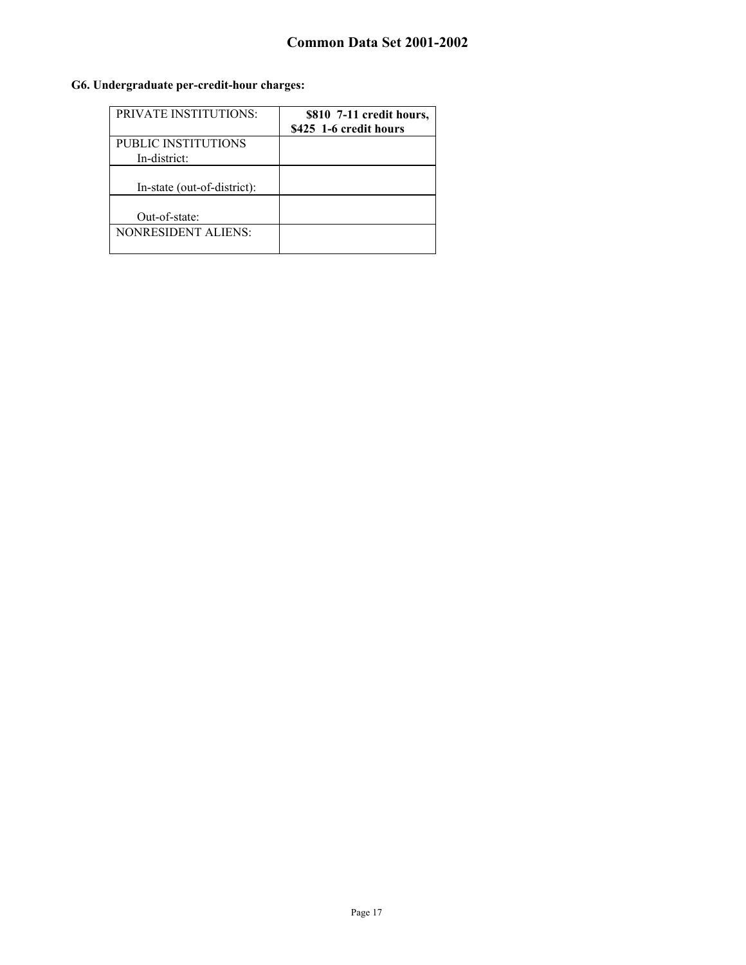## **G6. Undergraduate per-credit-hour charges:**

| <b>PRIVATE INSTITUTIONS:</b>        | \$810 7-11 credit hours,<br>\$425 1-6 credit hours |
|-------------------------------------|----------------------------------------------------|
| PUBLIC INSTITUTIONS<br>In-district: |                                                    |
| In-state (out-of-district):         |                                                    |
| Out-of-state:                       |                                                    |
| NONRESIDENT ALIENS:                 |                                                    |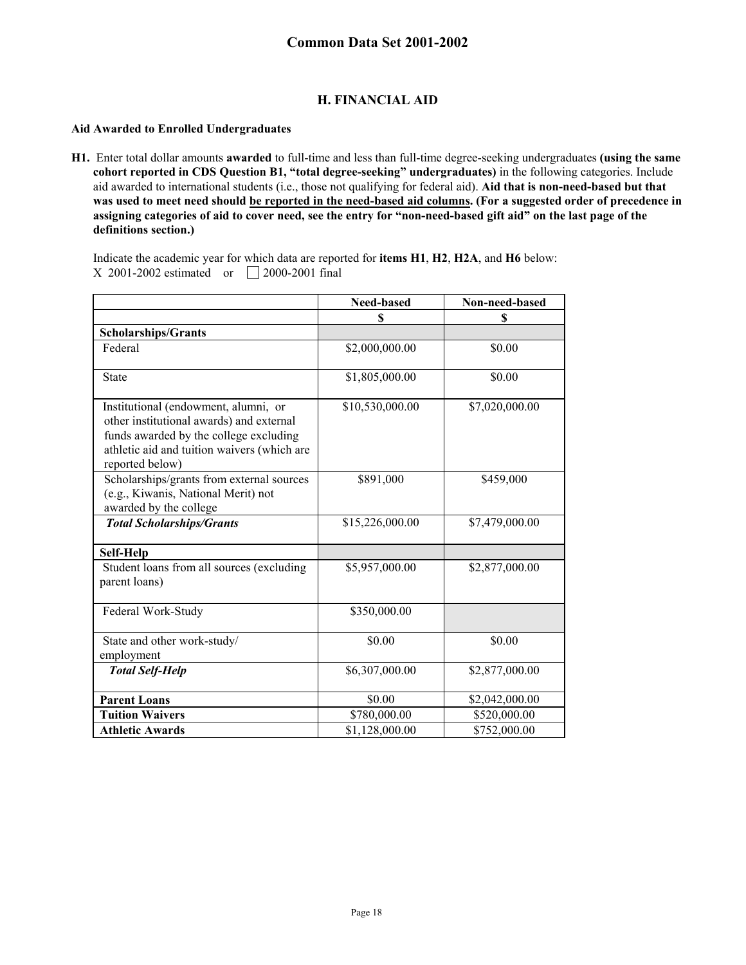## **H. FINANCIAL AID**

### **Aid Awarded to Enrolled Undergraduates**

**H1.** Enter total dollar amounts **awarded** to full-time and less than full-time degree-seeking undergraduates **(using the same cohort reported in CDS Question B1, "total degree-seeking" undergraduates)** in the following categories. Include aid awarded to international students (i.e., those not qualifying for federal aid). **Aid that is non-need-based but that was used to meet need should be reported in the need-based aid columns. (For a suggested order of precedence in assigning categories of aid to cover need, see the entry for "non-need-based gift aid" on the last page of the definitions section.)**

Indicate the academic year for which data are reported for **items H1**, **H2**, **H2A**, and **H6** below: X 2001-2002 estimated or  $\Box$  2000-2001 final

|                                                                                                                                                                                              | <b>Need-based</b> | Non-need-based |
|----------------------------------------------------------------------------------------------------------------------------------------------------------------------------------------------|-------------------|----------------|
|                                                                                                                                                                                              | \$                | \$             |
| <b>Scholarships/Grants</b>                                                                                                                                                                   |                   |                |
| Federal                                                                                                                                                                                      | \$2,000,000.00    | \$0.00         |
| <b>State</b>                                                                                                                                                                                 | \$1,805,000.00    | \$0.00         |
| Institutional (endowment, alumni, or<br>other institutional awards) and external<br>funds awarded by the college excluding<br>athletic aid and tuition waivers (which are<br>reported below) | \$10,530,000.00   | \$7,020,000.00 |
| Scholarships/grants from external sources<br>(e.g., Kiwanis, National Merit) not<br>awarded by the college                                                                                   | \$891,000         | \$459,000      |
| <b>Total Scholarships/Grants</b>                                                                                                                                                             | \$15,226,000.00   | \$7,479,000.00 |
| Self-Help                                                                                                                                                                                    |                   |                |
| Student loans from all sources (excluding<br>parent loans)                                                                                                                                   | \$5,957,000.00    | \$2,877,000.00 |
| Federal Work-Study                                                                                                                                                                           | \$350,000.00      |                |
| State and other work-study/<br>employment                                                                                                                                                    | \$0.00            | \$0.00         |
| <b>Total Self-Help</b>                                                                                                                                                                       | \$6,307,000.00    | \$2,877,000.00 |
| <b>Parent Loans</b>                                                                                                                                                                          | \$0.00            | \$2,042,000.00 |
| <b>Tuition Waivers</b>                                                                                                                                                                       | \$780,000.00      | \$520,000.00   |
| <b>Athletic Awards</b>                                                                                                                                                                       | \$1,128,000.00    | \$752,000.00   |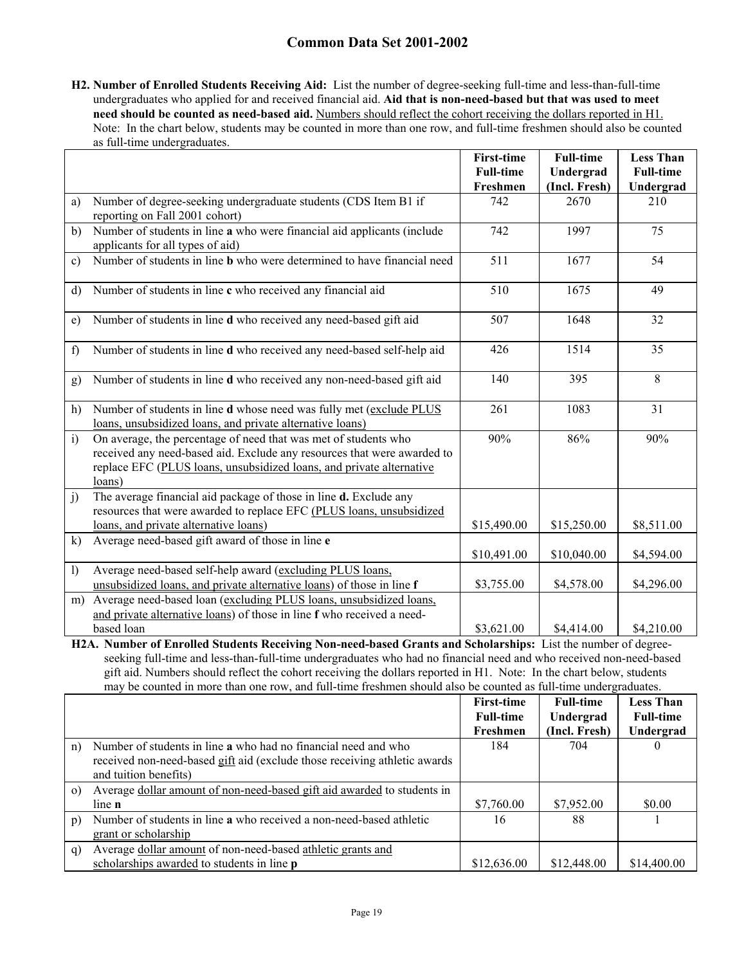**H2. Number of Enrolled Students Receiving Aid:** List the number of degree-seeking full-time and less-than-full-time undergraduates who applied for and received financial aid. **Aid that is non-need-based but that was used to meet need should be counted as need-based aid.** Numbers should reflect the cohort receiving the dollars reported in H1. Note: In the chart below, students may be counted in more than one row, and full-time freshmen should also be counted as full-time undergraduates.

|                  |                                                                                                                                                                                                                              | <b>First-time</b><br><b>Full-time</b><br>Freshmen | <b>Full-time</b><br>Undergrad<br>(Incl. Fresh) | <b>Less Than</b><br><b>Full-time</b> |
|------------------|------------------------------------------------------------------------------------------------------------------------------------------------------------------------------------------------------------------------------|---------------------------------------------------|------------------------------------------------|--------------------------------------|
| a)               | Number of degree-seeking undergraduate students (CDS Item B1 if<br>reporting on Fall 2001 cohort)                                                                                                                            | 742                                               | 2670                                           | Undergrad<br>210                     |
| b)               | Number of students in line a who were financial aid applicants (include<br>applicants for all types of aid)                                                                                                                  | 742                                               | 1997                                           | 75                                   |
| $\mathbf{c}$     | Number of students in line <b>b</b> who were determined to have financial need                                                                                                                                               | 511                                               | 1677                                           | 54                                   |
| d)               | Number of students in line c who received any financial aid                                                                                                                                                                  | 510                                               | 1675                                           | 49                                   |
| e)               | Number of students in line d who received any need-based gift aid                                                                                                                                                            | 507                                               | 1648                                           | 32                                   |
| f                | Number of students in line d who received any need-based self-help aid                                                                                                                                                       | 426                                               | 1514                                           | 35                                   |
| g)               | Number of students in line d who received any non-need-based gift aid                                                                                                                                                        | 140                                               | 395                                            | 8                                    |
| h)               | Number of students in line d whose need was fully met (exclude PLUS<br>loans, unsubsidized loans, and private alternative loans)                                                                                             | 261                                               | 1083                                           | 31                                   |
| $\ddot{1}$       | On average, the percentage of need that was met of students who<br>received any need-based aid. Exclude any resources that were awarded to<br>replace EFC (PLUS loans, unsubsidized loans, and private alternative<br>loans) | 90%                                               | 86%                                            | 90%                                  |
| j)               | The average financial aid package of those in line <b>d.</b> Exclude any<br>resources that were awarded to replace EFC (PLUS loans, unsubsidized<br>loans, and private alternative loans)                                    | \$15,490.00                                       | \$15,250.00                                    | \$8,511.00                           |
| $\bf k)$         | Average need-based gift award of those in line e                                                                                                                                                                             | \$10,491.00                                       | \$10,040.00                                    | \$4,594.00                           |
| $\left  \right $ | Average need-based self-help award (excluding PLUS loans,<br>unsubsidized loans, and private alternative loans) of those in line f                                                                                           | \$3,755.00                                        | \$4,578.00                                     | \$4,296.00                           |
| m)               | Average need-based loan (excluding PLUS loans, unsubsidized loans,<br>and private alternative loans) of those in line f who received a need-<br>based loan                                                                   | \$3,621.00                                        | \$4,414.00                                     | \$4,210.00                           |
|                  | H2A. Number of Enrolled Students Receiving Non-need-based Grants and Scholarships: List the number of degree-                                                                                                                |                                                   |                                                |                                      |

seeking full-time and less-than-full-time undergraduates who had no financial need and who received non-need-based gift aid. Numbers should reflect the cohort receiving the dollars reported in H1. Note: In the chart below, students may be counted in more than one row, and full-time freshmen should also be counted as full-time undergraduates.

|                  |                                                                           | <b>First-time</b> | <b>Full-time</b> | <b>Less Than</b> |
|------------------|---------------------------------------------------------------------------|-------------------|------------------|------------------|
|                  |                                                                           | <b>Full-time</b>  | Undergrad        | <b>Full-time</b> |
|                  |                                                                           | Freshmen          | (Incl. Fresh)    | Undergrad        |
| n)               | Number of students in line a who had no financial need and who            | 184               | 704              | $\theta$         |
|                  | received non-need-based gift aid (exclude those receiving athletic awards |                   |                  |                  |
|                  | and tuition benefits)                                                     |                   |                  |                  |
| $\Omega$         | Average dollar amount of non-need-based gift aid awarded to students in   |                   |                  |                  |
|                  | $line \mathbf{n}$                                                         | \$7,760.00        | \$7,952.00       | \$0.00           |
| $\mathfrak{p}$ ) | Number of students in line a who received a non-need-based athletic       | 16                | 88               |                  |
|                  | grant or scholarship                                                      |                   |                  |                  |
| q)               | Average dollar amount of non-need-based athletic grants and               |                   |                  |                  |
|                  | scholarships awarded to students in line <b>p</b>                         | \$12,636.00       | \$12,448.00      | \$14,400.00      |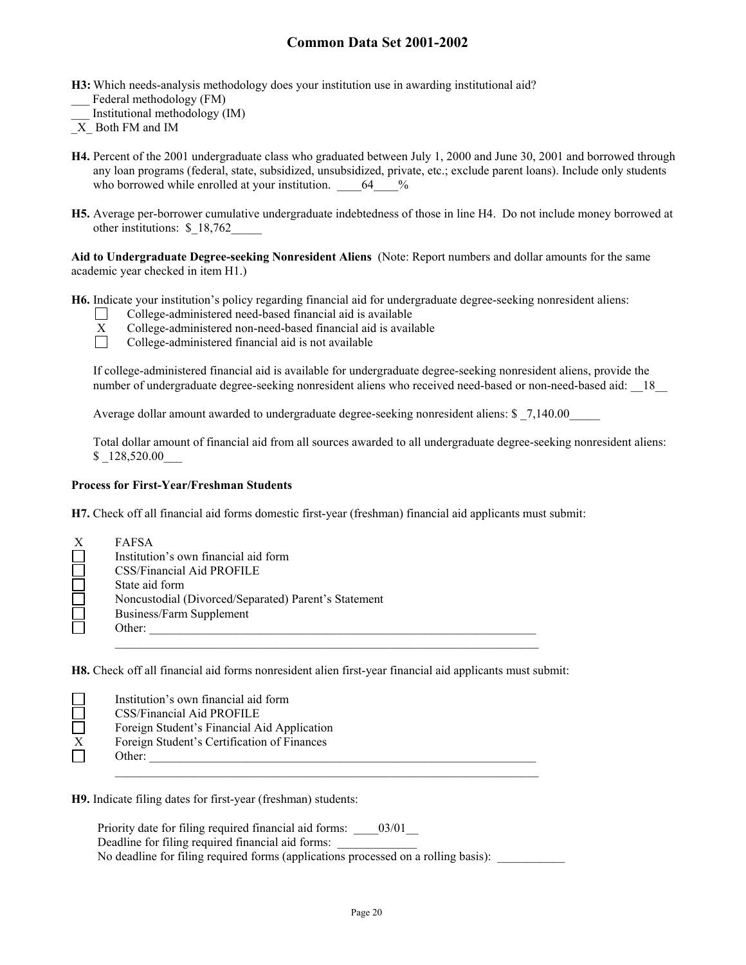- **H3:** Which needs-analysis methodology does your institution use in awarding institutional aid? Federal methodology (FM)
- \_\_\_ Institutional methodology (IM)
- $\overline{X}$  Both FM and IM
- **H4.** Percent of the 2001 undergraduate class who graduated between July 1, 2000 and June 30, 2001 and borrowed through any loan programs (federal, state, subsidized, unsubsidized, private, etc.; exclude parent loans). Include only students who borrowed while enrolled at your institution.  $64\frac{\%}{\%}$
- **H5.** Average per-borrower cumulative undergraduate indebtedness of those in line H4. Do not include money borrowed at other institutions: \$ 18,762

**Aid to Undergraduate Degree-seeking Nonresident Aliens** (Note: Report numbers and dollar amounts for the same academic year checked in item H1.)

**H6.** Indicate your institution's policy regarding financial aid for undergraduate degree-seeking nonresident aliens:

College-administered need-based financial aid is available



- $X$  College-administered non-need-based financial aid is available<br>  $\Box$  College-administered financial aid is not available
	- College-administered financial aid is not available

If college-administered financial aid is available for undergraduate degree-seeking nonresident aliens, provide the number of undergraduate degree-seeking nonresident aliens who received need-based or non-need-based aid: 18

Average dollar amount awarded to undergraduate degree-seeking nonresident aliens: \$ 7,140.00

Total dollar amount of financial aid from all sources awarded to all undergraduate degree-seeking nonresident aliens: \$ 128,520.00

### **Process for First-Year/Freshman Students**

**H7.** Check off all financial aid forms domestic first-year (freshman) financial aid applicants must submit:

| FAFSA                                                |
|------------------------------------------------------|
| Institution's own financial aid form                 |
| CSS/Financial Aid PROFILE                            |
| State aid form                                       |
| Noncustodial (Divorced/Separated) Parent's Statement |
| Business/Farm Supplement                             |
| Other:                                               |
|                                                      |

**H8.** Check off all financial aid forms nonresident alien first-year financial aid applicants must submit:

|   | Institution's own financial aid form        |
|---|---------------------------------------------|
|   | CSS/Financial Aid PROFILE                   |
|   | Foreign Student's Financial Aid Application |
| X | Foreign Student's Certification of Finances |
|   | Other:                                      |
|   |                                             |

**H9.** Indicate filing dates for first-year (freshman) students:

Priority date for filing required financial aid forms:  $03/01$ Deadline for filing required financial aid forms: No deadline for filing required forms (applications processed on a rolling basis):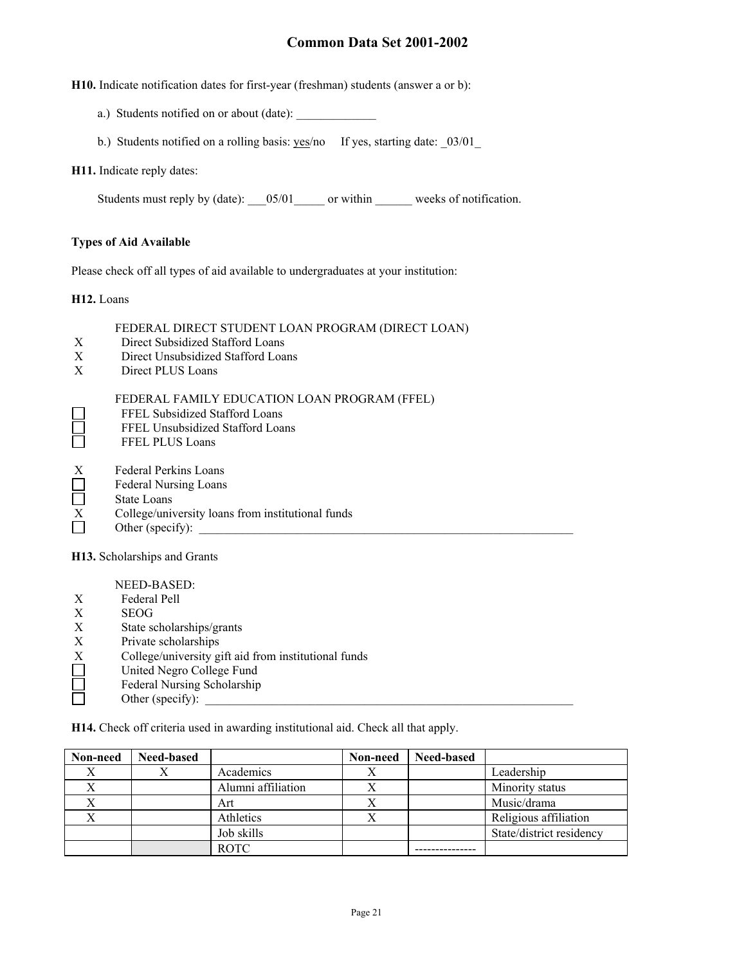**H10.** Indicate notification dates for first-year (freshman) students (answer a or b):

- a.) Students notified on or about (date):
- b.) Students notified on a rolling basis: yes/no If yes, starting date: \_03/01\_

#### **H11.** Indicate reply dates:

Students must reply by (date): \_\_\_05/01\_\_\_\_\_ or within \_\_\_\_\_\_ weeks of notification.

### **Types of Aid Available**

Please check off all types of aid available to undergraduates at your institution:

**H12.** Loans

 $\Box$ 

### FEDERAL DIRECT STUDENT LOAN PROGRAM (DIRECT LOAN)

- X Direct Subsidized Stafford Loans
- X Direct Unsubsidized Stafford Loans
- X Direct PLUS Loans

#### FEDERAL FAMILY EDUCATION LOAN PROGRAM (FFEL)

- FFEL Subsidized Stafford Loans
- FFEL Unsubsidized Stafford Loans
- Ħ FFEL PLUS Loans
- X Federal Perkins Loans<br>
Federal Nursing Loans
- Federal Nursing Loans
- State Loans
- $\overline{X}$  College/university loans from institutional funds<br>Other (specify):
- Other (specify):

**H13.** Scholarships and Grants

NEED-BASED:

- X Federal Pell
- X SEOG
- X State scholarships/grants
- X Private scholarships<br>X College/university g<br>United Negro Colleg
- College/university gift aid from institutional funds
- United Negro College Fund
- $\Box$ Federal Nursing Scholarship
- Other (specify):

**H14.** Check off criteria used in awarding institutional aid. Check all that apply.

| Non-need | <b>Need-based</b> |                    | Non-need | <b>Need-based</b> |                          |
|----------|-------------------|--------------------|----------|-------------------|--------------------------|
|          |                   | Academics          |          |                   | Leadership               |
|          |                   | Alumni affiliation |          |                   | Minority status          |
|          |                   | Art                | л        |                   | Music/drama              |
|          |                   | Athletics          |          |                   | Religious affiliation    |
|          |                   | Job skills         |          |                   | State/district residency |
|          |                   | <b>ROTC</b>        |          |                   |                          |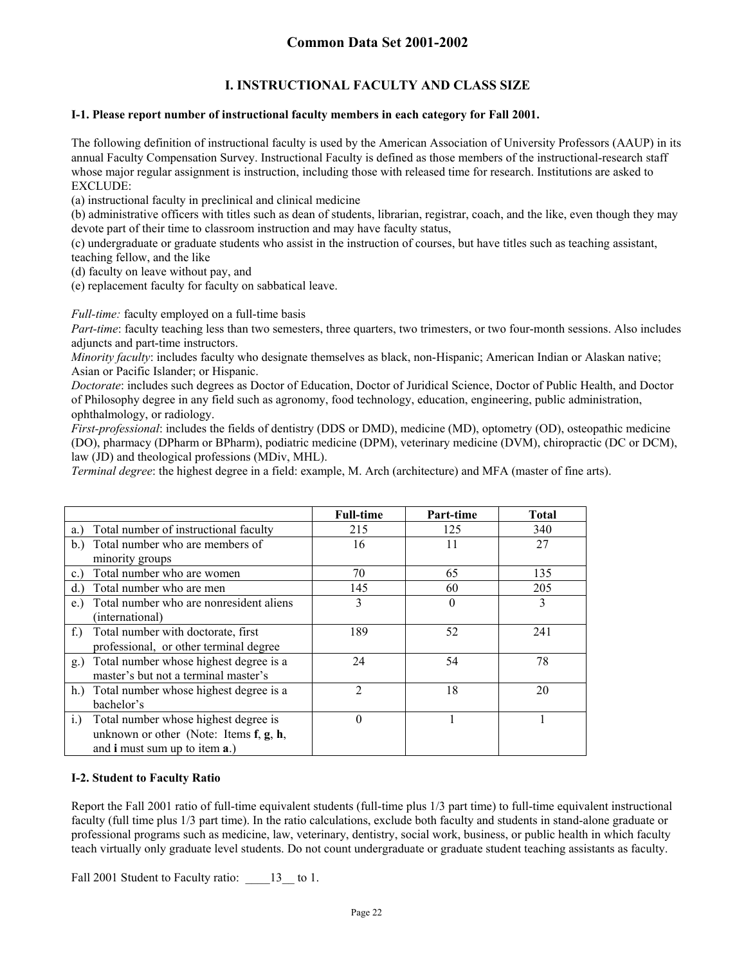## **I. INSTRUCTIONAL FACULTY AND CLASS SIZE**

### **I-1. Please report number of instructional faculty members in each category for Fall 2001.**

The following definition of instructional faculty is used by the American Association of University Professors (AAUP) in its annual Faculty Compensation Survey. Instructional Faculty is defined as those members of the instructional-research staff whose major regular assignment is instruction, including those with released time for research. Institutions are asked to EXCLUDE:

(a) instructional faculty in preclinical and clinical medicine

(b) administrative officers with titles such as dean of students, librarian, registrar, coach, and the like, even though they may devote part of their time to classroom instruction and may have faculty status,

(c) undergraduate or graduate students who assist in the instruction of courses, but have titles such as teaching assistant, teaching fellow, and the like

(d) faculty on leave without pay, and

(e) replacement faculty for faculty on sabbatical leave.

*Full-time:* faculty employed on a full-time basis

*Part-time*: faculty teaching less than two semesters, three quarters, two trimesters, or two four-month sessions. Also includes adjuncts and part-time instructors.

*Minority faculty*: includes faculty who designate themselves as black, non-Hispanic; American Indian or Alaskan native; Asian or Pacific Islander; or Hispanic.

*Doctorate*: includes such degrees as Doctor of Education, Doctor of Juridical Science, Doctor of Public Health, and Doctor of Philosophy degree in any field such as agronomy, food technology, education, engineering, public administration, ophthalmology, or radiology.

*First-professional*: includes the fields of dentistry (DDS or DMD), medicine (MD), optometry (OD), osteopathic medicine (DO), pharmacy (DPharm or BPharm), podiatric medicine (DPM), veterinary medicine (DVM), chiropractic (DC or DCM), law (JD) and theological professions (MDiv, MHL).

*Terminal degree*: the highest degree in a field: example, M. Arch (architecture) and MFA (master of fine arts).

|                                                     | <b>Full-time</b> | Part-time | <b>Total</b> |
|-----------------------------------------------------|------------------|-----------|--------------|
| Total number of instructional faculty<br>a.)        | 215              | 125       | 340          |
| Total number who are members of<br>b.               | 16               | 11        | 27           |
| minority groups                                     |                  |           |              |
| Total number who are women<br>$c_{\cdot}$           | 70               | 65        | 135          |
| Total number who are men<br>d.                      | 145              | 60        | 205          |
| Total number who are nonresident aliens<br>e.       | 3                | $\Omega$  | 3            |
| (international)                                     |                  |           |              |
| Total number with doctorate, first<br>$f_{\cdot}$ ) | 189              | 52        | 241          |
| professional, or other terminal degree              |                  |           |              |
| Total number whose highest degree is a<br>g.)       | 24               | 54        | 78           |
| master's but not a terminal master's                |                  |           |              |
| h.) Total number whose highest degree is a          | $\overline{2}$   | 18        | 20           |
| bachelor's                                          |                  |           |              |
| Total number whose highest degree is<br>i.          | $\theta$         |           |              |
| unknown or other (Note: Items $f, g, h$ ,           |                  |           |              |
| and <b>i</b> must sum up to item <b>a</b> .)        |                  |           |              |

### **I-2. Student to Faculty Ratio**

Report the Fall 2001 ratio of full-time equivalent students (full-time plus 1/3 part time) to full-time equivalent instructional faculty (full time plus 1/3 part time). In the ratio calculations, exclude both faculty and students in stand-alone graduate or professional programs such as medicine, law, veterinary, dentistry, social work, business, or public health in which faculty teach virtually only graduate level students. Do not count undergraduate or graduate student teaching assistants as faculty.

Fall 2001 Student to Faculty ratio:  $13$  to 1.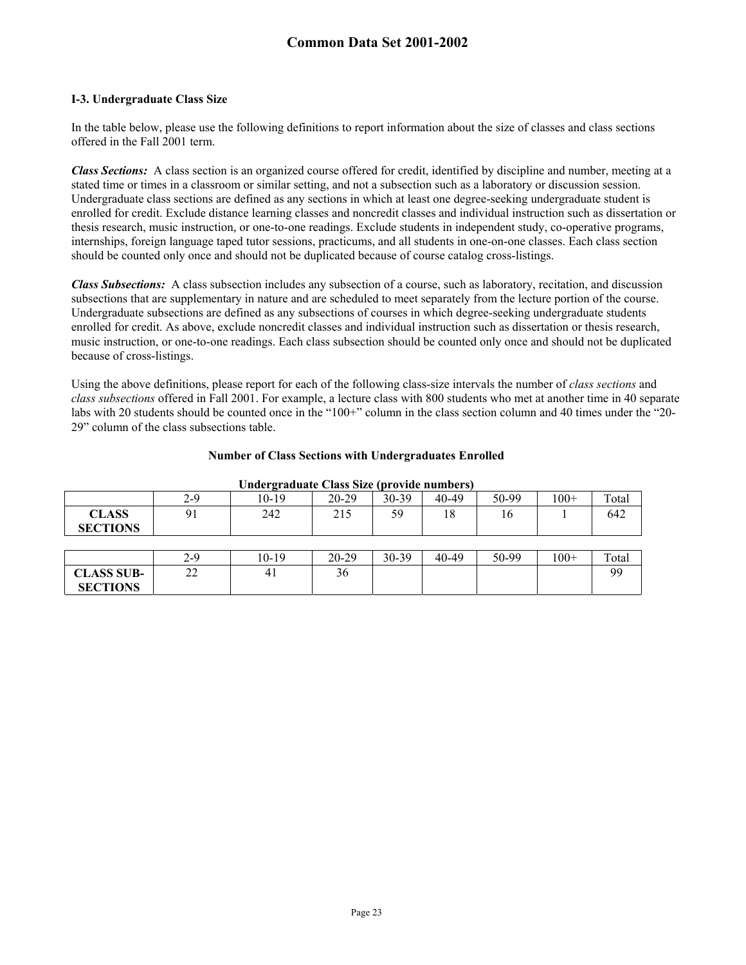### **I-3. Undergraduate Class Size**

In the table below, please use the following definitions to report information about the size of classes and class sections offered in the Fall 2001 term.

*Class Sections:* A class section is an organized course offered for credit, identified by discipline and number, meeting at a stated time or times in a classroom or similar setting, and not a subsection such as a laboratory or discussion session. Undergraduate class sections are defined as any sections in which at least one degree-seeking undergraduate student is enrolled for credit. Exclude distance learning classes and noncredit classes and individual instruction such as dissertation or thesis research, music instruction, or one-to-one readings. Exclude students in independent study, co-operative programs, internships, foreign language taped tutor sessions, practicums, and all students in one-on-one classes. Each class section should be counted only once and should not be duplicated because of course catalog cross-listings.

*Class Subsections:* A class subsection includes any subsection of a course, such as laboratory, recitation, and discussion subsections that are supplementary in nature and are scheduled to meet separately from the lecture portion of the course. Undergraduate subsections are defined as any subsections of courses in which degree-seeking undergraduate students enrolled for credit. As above, exclude noncredit classes and individual instruction such as dissertation or thesis research, music instruction, or one-to-one readings. Each class subsection should be counted only once and should not be duplicated because of cross-listings.

Using the above definitions, please report for each of the following class-size intervals the number of *class sections* and *class subsections* offered in Fall 2001. For example, a lecture class with 800 students who met at another time in 40 separate labs with 20 students should be counted once in the "100+" column in the class section column and 40 times under the "20-29" column of the class subsections table.

| Undergraduate Class Size (provide numbers) |     |         |           |         |       |       |        |       |
|--------------------------------------------|-----|---------|-----------|---------|-------|-------|--------|-------|
|                                            | 2-9 | 10-19   | $20-29$   | $30-39$ | 40-49 | 50-99 | $100+$ | Total |
| <b>CLASS</b><br><b>SECTIONS</b>            | 91  | 242     | 215       | 59      | 18    | 16    |        | 642   |
|                                            |     |         |           |         |       |       |        |       |
|                                            | 2-9 | $10-19$ | $20 - 29$ | 30-39   | 40-49 | 50-99 | $100+$ | Total |
| <b>CLASS SUB-</b>                          | 22  | 41      | 36        |         |       |       |        | 99    |
| <b>SECTIONS</b>                            |     |         |           |         |       |       |        |       |

#### **Number of Class Sections with Undergraduates Enrolled**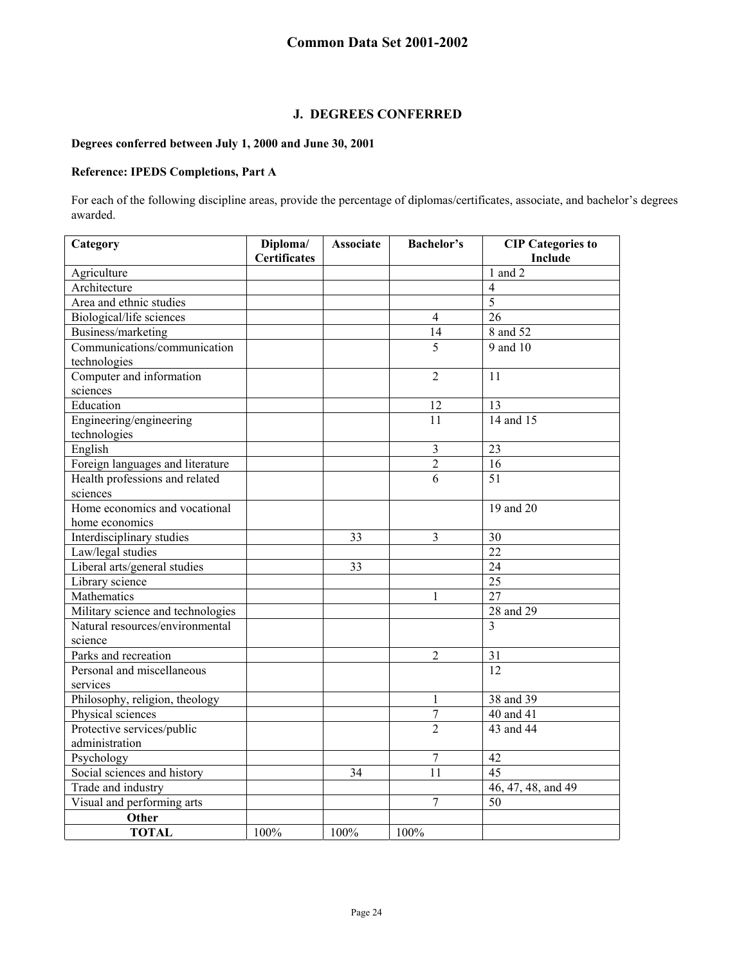## **J. DEGREES CONFERRED**

## **Degrees conferred between July 1, 2000 and June 30, 2001**

## **Reference: IPEDS Completions, Part A**

For each of the following discipline areas, provide the percentage of diplomas/certificates, associate, and bachelor's degrees awarded.

| Category                          | Diploma/            | <b>Associate</b> | <b>Bachelor's</b> | <b>CIP</b> Categories to |
|-----------------------------------|---------------------|------------------|-------------------|--------------------------|
|                                   | <b>Certificates</b> |                  |                   | Include                  |
| Agriculture                       |                     |                  |                   | $1$ and $2$              |
| Architecture                      |                     |                  |                   | $\overline{4}$           |
| Area and ethnic studies           |                     |                  |                   | $\overline{5}$           |
| Biological/life sciences          |                     |                  | $\overline{4}$    | 26                       |
| Business/marketing                |                     |                  | $\overline{14}$   | 8 and 52                 |
| Communications/communication      |                     |                  | 5                 | 9 and 10                 |
| technologies                      |                     |                  |                   |                          |
| Computer and information          |                     |                  | $\overline{2}$    | 11                       |
| sciences                          |                     |                  |                   |                          |
| Education                         |                     |                  | 12                | 13                       |
| Engineering/engineering           |                     |                  | 11                | 14 and 15                |
| technologies                      |                     |                  |                   |                          |
| English                           |                     |                  | 3                 | 23                       |
| Foreign languages and literature  |                     |                  | $\overline{c}$    | 16                       |
| Health professions and related    |                     |                  | $\overline{6}$    | $\overline{51}$          |
| sciences                          |                     |                  |                   |                          |
| Home economics and vocational     |                     |                  |                   | 19 and 20                |
| home economics                    |                     |                  |                   |                          |
| Interdisciplinary studies         |                     | 33               | 3                 | 30                       |
| Law/legal studies                 |                     |                  |                   | 22                       |
| Liberal arts/general studies      |                     | 33               |                   | 24                       |
| Library science                   |                     |                  |                   | 25                       |
| Mathematics                       |                     |                  | 1                 | 27                       |
| Military science and technologies |                     |                  |                   | 28 and 29                |
| Natural resources/environmental   |                     |                  |                   | 3                        |
| science                           |                     |                  |                   |                          |
| Parks and recreation              |                     |                  | 2                 | 31                       |
| Personal and miscellaneous        |                     |                  |                   | 12                       |
| services                          |                     |                  |                   |                          |
| Philosophy, religion, theology    |                     |                  | 1                 | 38 and 39                |
| Physical sciences                 |                     |                  | $\overline{7}$    | 40 and 41                |
| Protective services/public        |                     |                  | $\overline{2}$    | 43 and 44                |
| administration                    |                     |                  |                   |                          |
| Psychology                        |                     |                  | $\overline{7}$    | 42                       |
| Social sciences and history       |                     | 34               | 11                | 45                       |
| Trade and industry                |                     |                  |                   | 46, 47, 48, and 49       |
| Visual and performing arts        |                     |                  | $\overline{7}$    | 50                       |
| Other                             |                     |                  |                   |                          |
| <b>TOTAL</b>                      | 100%                | 100%             | 100%              |                          |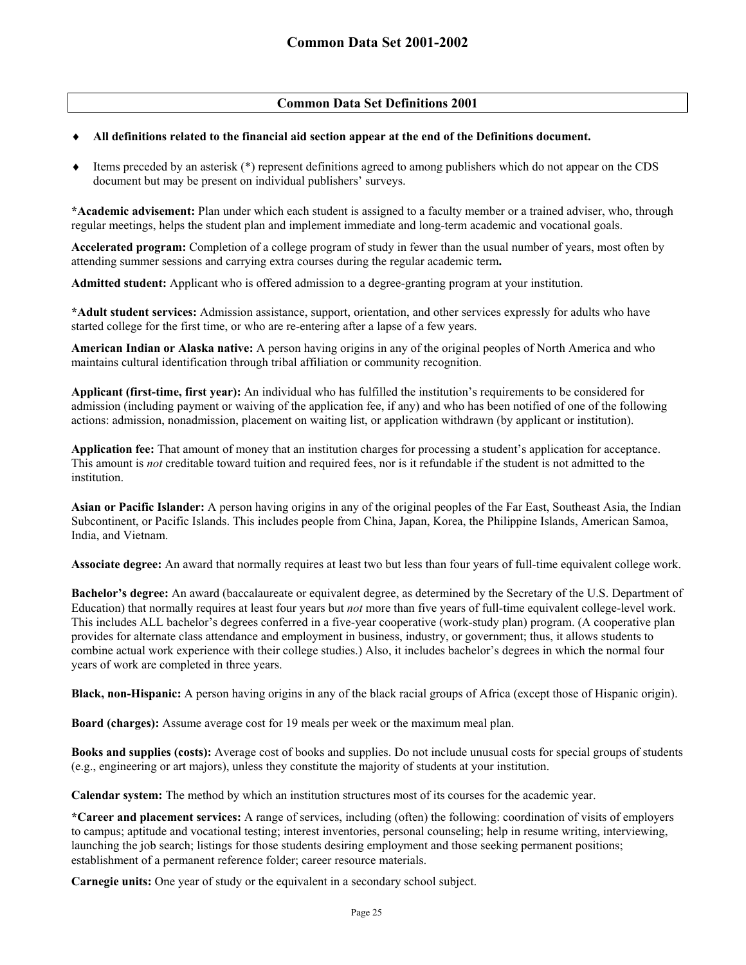## **Common Data Set Definitions 2001**

### ♦ **All definitions related to the financial aid section appear at the end of the Definitions document.**

Items preceded by an asterisk (\*) represent definitions agreed to among publishers which do not appear on the CDS document but may be present on individual publishers' surveys.

**\*Academic advisement:** Plan under which each student is assigned to a faculty member or a trained adviser, who, through regular meetings, helps the student plan and implement immediate and long-term academic and vocational goals.

**Accelerated program:** Completion of a college program of study in fewer than the usual number of years, most often by attending summer sessions and carrying extra courses during the regular academic term**.**

**Admitted student:** Applicant who is offered admission to a degree-granting program at your institution.

**\*Adult student services:** Admission assistance, support, orientation, and other services expressly for adults who have started college for the first time, or who are re-entering after a lapse of a few years.

**American Indian or Alaska native:** A person having origins in any of the original peoples of North America and who maintains cultural identification through tribal affiliation or community recognition.

**Applicant (first-time, first year):** An individual who has fulfilled the institution's requirements to be considered for admission (including payment or waiving of the application fee, if any) and who has been notified of one of the following actions: admission, nonadmission, placement on waiting list, or application withdrawn (by applicant or institution).

**Application fee:** That amount of money that an institution charges for processing a student's application for acceptance. This amount is *not* creditable toward tuition and required fees, nor is it refundable if the student is not admitted to the institution.

**Asian or Pacific Islander:** A person having origins in any of the original peoples of the Far East, Southeast Asia, the Indian Subcontinent, or Pacific Islands. This includes people from China, Japan, Korea, the Philippine Islands, American Samoa, India, and Vietnam.

**Associate degree:** An award that normally requires at least two but less than four years of full-time equivalent college work.

**Bachelor's degree:** An award (baccalaureate or equivalent degree, as determined by the Secretary of the U.S. Department of Education) that normally requires at least four years but *not* more than five years of full-time equivalent college-level work. This includes ALL bachelor's degrees conferred in a five-year cooperative (work-study plan) program. (A cooperative plan provides for alternate class attendance and employment in business, industry, or government; thus, it allows students to combine actual work experience with their college studies.) Also, it includes bachelor's degrees in which the normal four years of work are completed in three years.

**Black, non-Hispanic:** A person having origins in any of the black racial groups of Africa (except those of Hispanic origin).

**Board (charges):** Assume average cost for 19 meals per week or the maximum meal plan.

**Books and supplies (costs):** Average cost of books and supplies. Do not include unusual costs for special groups of students (e.g., engineering or art majors), unless they constitute the majority of students at your institution.

**Calendar system:** The method by which an institution structures most of its courses for the academic year.

**\*Career and placement services:** A range of services, including (often) the following: coordination of visits of employers to campus; aptitude and vocational testing; interest inventories, personal counseling; help in resume writing, interviewing, launching the job search; listings for those students desiring employment and those seeking permanent positions; establishment of a permanent reference folder; career resource materials.

**Carnegie units:** One year of study or the equivalent in a secondary school subject.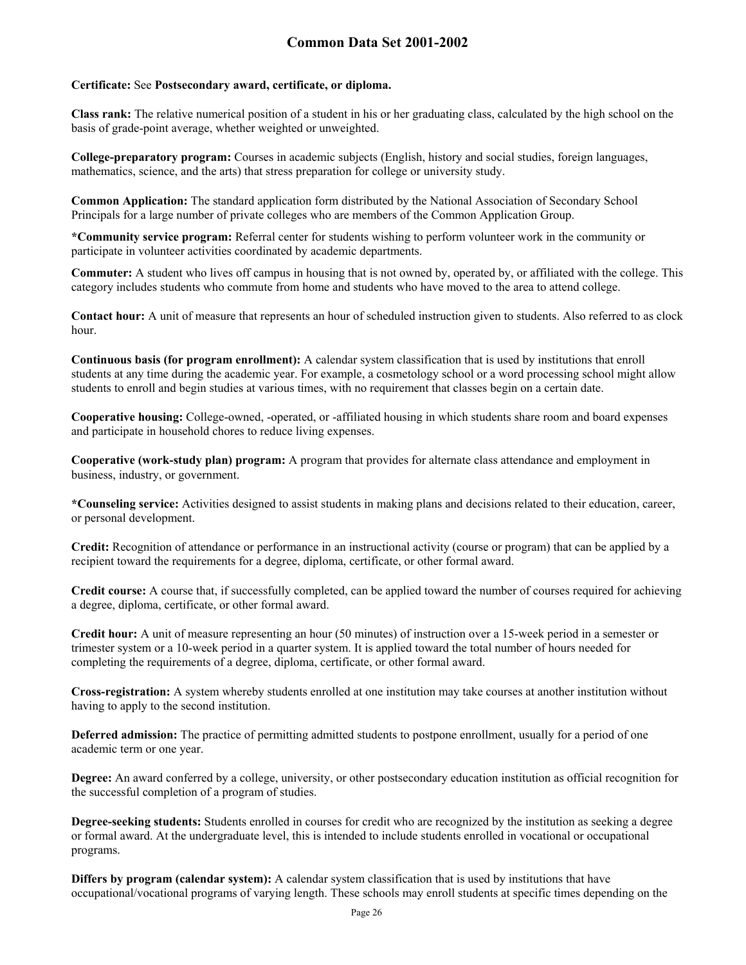#### **Certificate:** See **Postsecondary award, certificate, or diploma.**

**Class rank:** The relative numerical position of a student in his or her graduating class, calculated by the high school on the basis of grade-point average, whether weighted or unweighted.

**College-preparatory program:** Courses in academic subjects (English, history and social studies, foreign languages, mathematics, science, and the arts) that stress preparation for college or university study.

**Common Application:** The standard application form distributed by the National Association of Secondary School Principals for a large number of private colleges who are members of the Common Application Group.

**\*Community service program:** Referral center for students wishing to perform volunteer work in the community or participate in volunteer activities coordinated by academic departments.

**Commuter:** A student who lives off campus in housing that is not owned by, operated by, or affiliated with the college. This category includes students who commute from home and students who have moved to the area to attend college.

**Contact hour:** A unit of measure that represents an hour of scheduled instruction given to students. Also referred to as clock hour.

**Continuous basis (for program enrollment):** A calendar system classification that is used by institutions that enroll students at any time during the academic year. For example, a cosmetology school or a word processing school might allow students to enroll and begin studies at various times, with no requirement that classes begin on a certain date.

**Cooperative housing:** College-owned, -operated, or -affiliated housing in which students share room and board expenses and participate in household chores to reduce living expenses.

**Cooperative (work-study plan) program:** A program that provides for alternate class attendance and employment in business, industry, or government.

**\*Counseling service:** Activities designed to assist students in making plans and decisions related to their education, career, or personal development.

**Credit:** Recognition of attendance or performance in an instructional activity (course or program) that can be applied by a recipient toward the requirements for a degree, diploma, certificate, or other formal award.

**Credit course:** A course that, if successfully completed, can be applied toward the number of courses required for achieving a degree, diploma, certificate, or other formal award.

**Credit hour:** A unit of measure representing an hour (50 minutes) of instruction over a 15-week period in a semester or trimester system or a 10-week period in a quarter system. It is applied toward the total number of hours needed for completing the requirements of a degree, diploma, certificate, or other formal award.

**Cross-registration:** A system whereby students enrolled at one institution may take courses at another institution without having to apply to the second institution.

**Deferred admission:** The practice of permitting admitted students to postpone enrollment, usually for a period of one academic term or one year.

**Degree:** An award conferred by a college, university, or other postsecondary education institution as official recognition for the successful completion of a program of studies.

**Degree-seeking students:** Students enrolled in courses for credit who are recognized by the institution as seeking a degree or formal award. At the undergraduate level, this is intended to include students enrolled in vocational or occupational programs.

**Differs by program (calendar system):** A calendar system classification that is used by institutions that have occupational/vocational programs of varying length. These schools may enroll students at specific times depending on the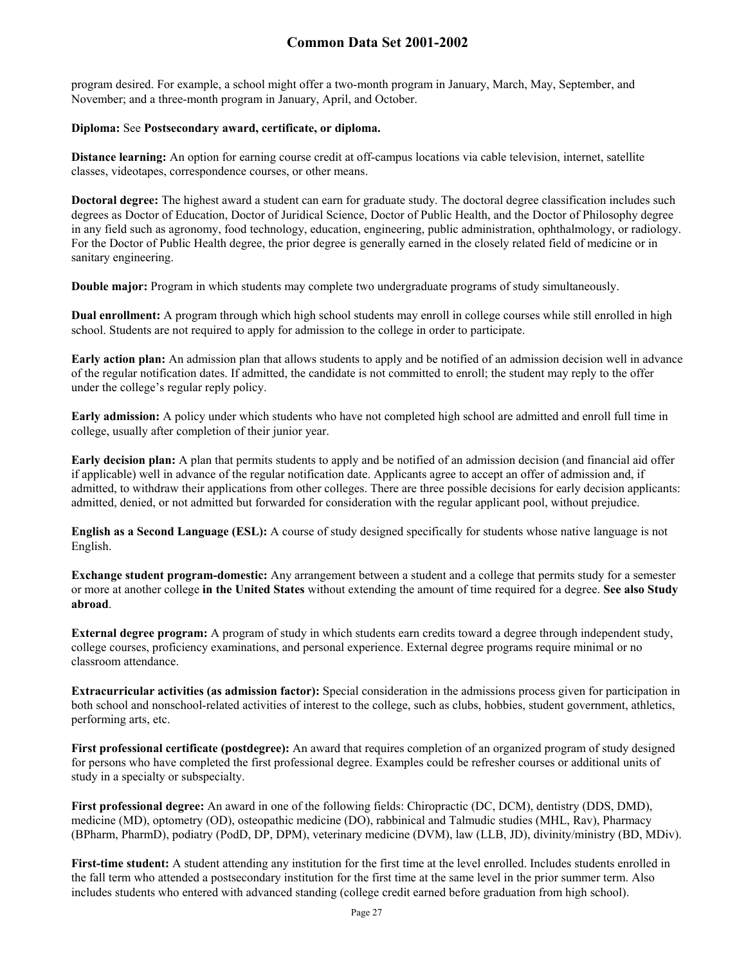program desired. For example, a school might offer a two-month program in January, March, May, September, and November; and a three-month program in January, April, and October.

### **Diploma:** See **Postsecondary award, certificate, or diploma.**

**Distance learning:** An option for earning course credit at off-campus locations via cable television, internet, satellite classes, videotapes, correspondence courses, or other means.

**Doctoral degree:** The highest award a student can earn for graduate study. The doctoral degree classification includes such degrees as Doctor of Education, Doctor of Juridical Science, Doctor of Public Health, and the Doctor of Philosophy degree in any field such as agronomy, food technology, education, engineering, public administration, ophthalmology, or radiology. For the Doctor of Public Health degree, the prior degree is generally earned in the closely related field of medicine or in sanitary engineering.

**Double major:** Program in which students may complete two undergraduate programs of study simultaneously.

**Dual enrollment:** A program through which high school students may enroll in college courses while still enrolled in high school. Students are not required to apply for admission to the college in order to participate.

**Early action plan:** An admission plan that allows students to apply and be notified of an admission decision well in advance of the regular notification dates. If admitted, the candidate is not committed to enroll; the student may reply to the offer under the college's regular reply policy.

**Early admission:** A policy under which students who have not completed high school are admitted and enroll full time in college, usually after completion of their junior year.

**Early decision plan:** A plan that permits students to apply and be notified of an admission decision (and financial aid offer if applicable) well in advance of the regular notification date. Applicants agree to accept an offer of admission and, if admitted, to withdraw their applications from other colleges. There are three possible decisions for early decision applicants: admitted, denied, or not admitted but forwarded for consideration with the regular applicant pool, without prejudice.

**English as a Second Language (ESL):** A course of study designed specifically for students whose native language is not English.

**Exchange student program-domestic:** Any arrangement between a student and a college that permits study for a semester or more at another college **in the United States** without extending the amount of time required for a degree. **See also Study abroad**.

**External degree program:** A program of study in which students earn credits toward a degree through independent study, college courses, proficiency examinations, and personal experience. External degree programs require minimal or no classroom attendance.

**Extracurricular activities (as admission factor):** Special consideration in the admissions process given for participation in both school and nonschool-related activities of interest to the college, such as clubs, hobbies, student government, athletics, performing arts, etc.

**First professional certificate (postdegree):** An award that requires completion of an organized program of study designed for persons who have completed the first professional degree. Examples could be refresher courses or additional units of study in a specialty or subspecialty.

**First professional degree:** An award in one of the following fields: Chiropractic (DC, DCM), dentistry (DDS, DMD), medicine (MD), optometry (OD), osteopathic medicine (DO), rabbinical and Talmudic studies (MHL, Rav), Pharmacy (BPharm, PharmD), podiatry (PodD, DP, DPM), veterinary medicine (DVM), law (LLB, JD), divinity/ministry (BD, MDiv).

First-time student: A student attending any institution for the first time at the level enrolled. Includes students enrolled in the fall term who attended a postsecondary institution for the first time at the same level in the prior summer term. Also includes students who entered with advanced standing (college credit earned before graduation from high school).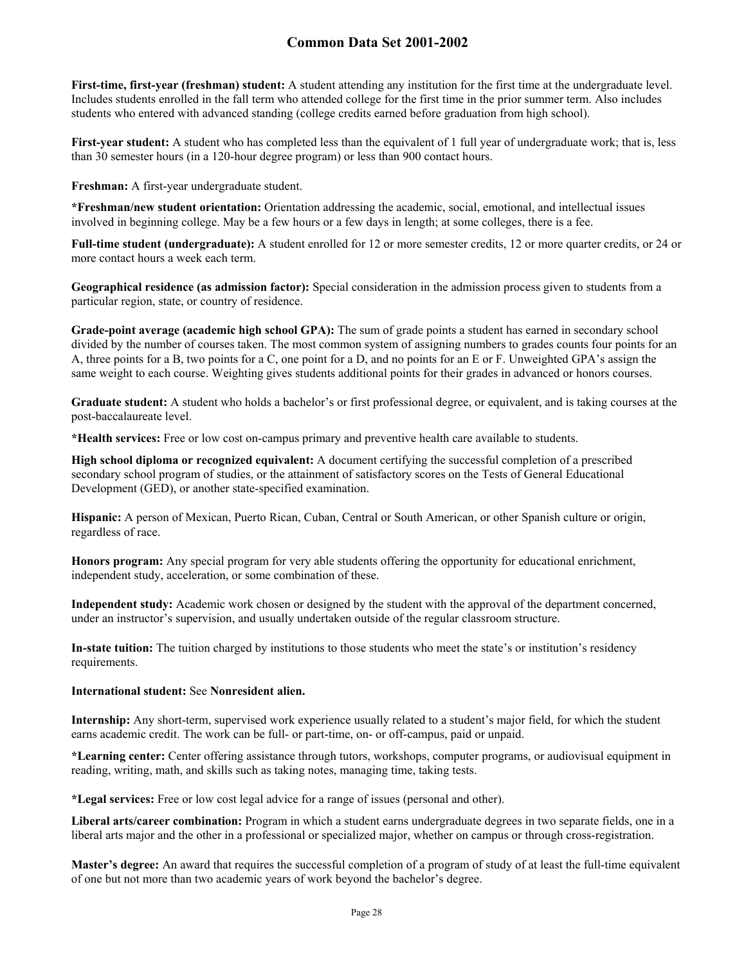**First-time, first-year (freshman) student:** A student attending any institution for the first time at the undergraduate level. Includes students enrolled in the fall term who attended college for the first time in the prior summer term. Also includes students who entered with advanced standing (college credits earned before graduation from high school).

**First-year student:** A student who has completed less than the equivalent of 1 full year of undergraduate work; that is, less than 30 semester hours (in a 120-hour degree program) or less than 900 contact hours.

**Freshman:** A first-year undergraduate student.

**\*Freshman/new student orientation:** Orientation addressing the academic, social, emotional, and intellectual issues involved in beginning college. May be a few hours or a few days in length; at some colleges, there is a fee.

**Full-time student (undergraduate):** A student enrolled for 12 or more semester credits, 12 or more quarter credits, or 24 or more contact hours a week each term.

**Geographical residence (as admission factor):** Special consideration in the admission process given to students from a particular region, state, or country of residence.

**Grade-point average (academic high school GPA):** The sum of grade points a student has earned in secondary school divided by the number of courses taken. The most common system of assigning numbers to grades counts four points for an A, three points for a B, two points for a C, one point for a D, and no points for an E or F. Unweighted GPA's assign the same weight to each course. Weighting gives students additional points for their grades in advanced or honors courses.

**Graduate student:** A student who holds a bachelor's or first professional degree, or equivalent, and is taking courses at the post-baccalaureate level.

**\*Health services:** Free or low cost on-campus primary and preventive health care available to students.

**High school diploma or recognized equivalent:** A document certifying the successful completion of a prescribed secondary school program of studies, or the attainment of satisfactory scores on the Tests of General Educational Development (GED), or another state-specified examination.

**Hispanic:** A person of Mexican, Puerto Rican, Cuban, Central or South American, or other Spanish culture or origin, regardless of race.

**Honors program:** Any special program for very able students offering the opportunity for educational enrichment, independent study, acceleration, or some combination of these.

**Independent study:** Academic work chosen or designed by the student with the approval of the department concerned, under an instructor's supervision, and usually undertaken outside of the regular classroom structure.

**In-state tuition:** The tuition charged by institutions to those students who meet the state's or institution's residency requirements.

#### **International student:** See **Nonresident alien.**

**Internship:** Any short-term, supervised work experience usually related to a student's major field, for which the student earns academic credit. The work can be full- or part-time, on- or off-campus, paid or unpaid.

**\*Learning center:** Center offering assistance through tutors, workshops, computer programs, or audiovisual equipment in reading, writing, math, and skills such as taking notes, managing time, taking tests.

**\*Legal services:** Free or low cost legal advice for a range of issues (personal and other).

**Liberal arts/career combination:** Program in which a student earns undergraduate degrees in two separate fields, one in a liberal arts major and the other in a professional or specialized major, whether on campus or through cross-registration.

**Master's degree:** An award that requires the successful completion of a program of study of at least the full-time equivalent of one but not more than two academic years of work beyond the bachelor's degree.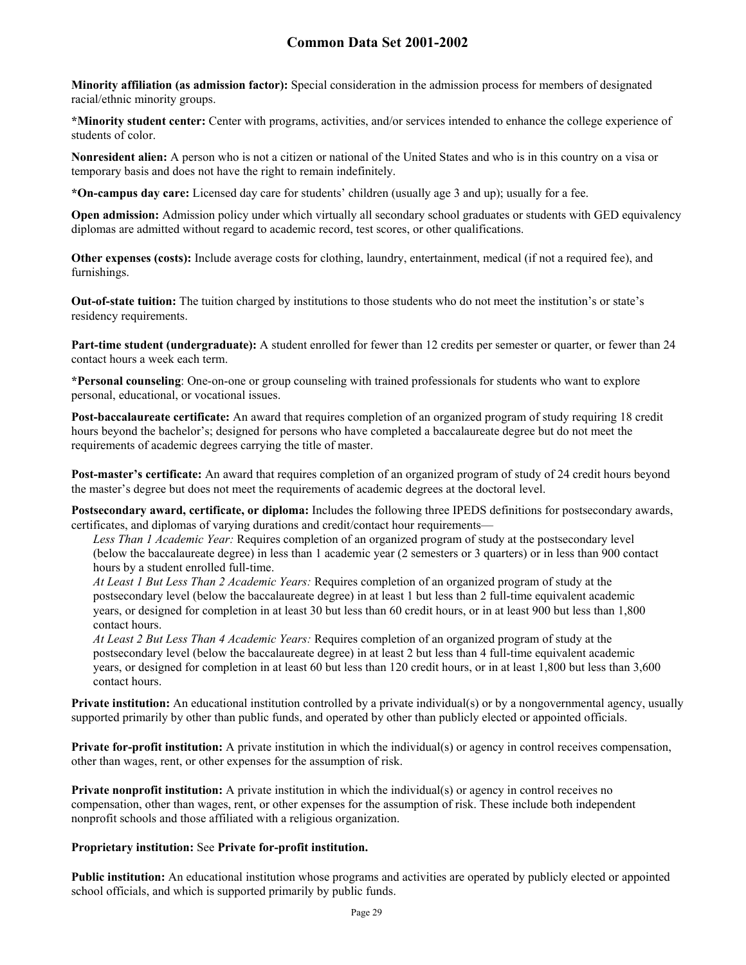**Minority affiliation (as admission factor):** Special consideration in the admission process for members of designated racial/ethnic minority groups.

**\*Minority student center:** Center with programs, activities, and/or services intended to enhance the college experience of students of color.

**Nonresident alien:** A person who is not a citizen or national of the United States and who is in this country on a visa or temporary basis and does not have the right to remain indefinitely.

**\*On-campus day care:** Licensed day care for students' children (usually age 3 and up); usually for a fee.

**Open admission:** Admission policy under which virtually all secondary school graduates or students with GED equivalency diplomas are admitted without regard to academic record, test scores, or other qualifications.

**Other expenses (costs):** Include average costs for clothing, laundry, entertainment, medical (if not a required fee), and furnishings.

**Out-of-state tuition:** The tuition charged by institutions to those students who do not meet the institution's or state's residency requirements.

**Part-time student (undergraduate):** A student enrolled for fewer than 12 credits per semester or quarter, or fewer than 24 contact hours a week each term.

**\*Personal counseling**: One-on-one or group counseling with trained professionals for students who want to explore personal, educational, or vocational issues.

**Post-baccalaureate certificate:** An award that requires completion of an organized program of study requiring 18 credit hours beyond the bachelor's; designed for persons who have completed a baccalaureate degree but do not meet the requirements of academic degrees carrying the title of master.

**Post-master's certificate:** An award that requires completion of an organized program of study of 24 credit hours beyond the master's degree but does not meet the requirements of academic degrees at the doctoral level.

**Postsecondary award, certificate, or diploma:** Includes the following three IPEDS definitions for postsecondary awards, certificates, and diplomas of varying durations and credit/contact hour requirements—

*Less Than 1 Academic Year:* Requires completion of an organized program of study at the postsecondary level (below the baccalaureate degree) in less than 1 academic year (2 semesters or 3 quarters) or in less than 900 contact hours by a student enrolled full-time.

*At Least 1 But Less Than 2 Academic Years:* Requires completion of an organized program of study at the postsecondary level (below the baccalaureate degree) in at least 1 but less than 2 full-time equivalent academic years, or designed for completion in at least 30 but less than 60 credit hours, or in at least 900 but less than 1,800 contact hours.

*At Least 2 But Less Than 4 Academic Years:* Requires completion of an organized program of study at the postsecondary level (below the baccalaureate degree) in at least 2 but less than 4 full-time equivalent academic years, or designed for completion in at least 60 but less than 120 credit hours, or in at least 1,800 but less than 3,600 contact hours.

**Private institution:** An educational institution controlled by a private individual(s) or by a nongovernmental agency, usually supported primarily by other than public funds, and operated by other than publicly elected or appointed officials.

**Private for-profit institution:** A private institution in which the individual(s) or agency in control receives compensation, other than wages, rent, or other expenses for the assumption of risk.

**Private nonprofit institution:** A private institution in which the individual(s) or agency in control receives no compensation, other than wages, rent, or other expenses for the assumption of risk. These include both independent nonprofit schools and those affiliated with a religious organization.

### **Proprietary institution:** See **Private for-profit institution.**

**Public institution:** An educational institution whose programs and activities are operated by publicly elected or appointed school officials, and which is supported primarily by public funds.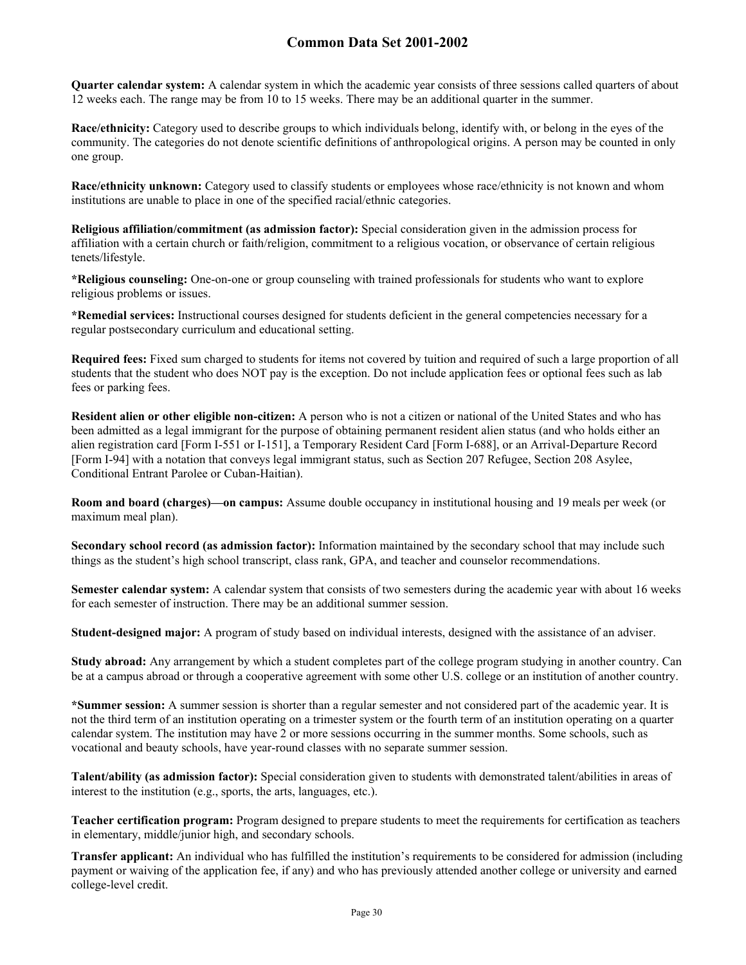**Quarter calendar system:** A calendar system in which the academic year consists of three sessions called quarters of about 12 weeks each. The range may be from 10 to 15 weeks. There may be an additional quarter in the summer.

**Race/ethnicity:** Category used to describe groups to which individuals belong, identify with, or belong in the eyes of the community. The categories do not denote scientific definitions of anthropological origins. A person may be counted in only one group.

**Race/ethnicity unknown:** Category used to classify students or employees whose race/ethnicity is not known and whom institutions are unable to place in one of the specified racial/ethnic categories.

**Religious affiliation/commitment (as admission factor):** Special consideration given in the admission process for affiliation with a certain church or faith/religion, commitment to a religious vocation, or observance of certain religious tenets/lifestyle.

**\*Religious counseling:** One-on-one or group counseling with trained professionals for students who want to explore religious problems or issues.

**\*Remedial services:** Instructional courses designed for students deficient in the general competencies necessary for a regular postsecondary curriculum and educational setting.

**Required fees:** Fixed sum charged to students for items not covered by tuition and required of such a large proportion of all students that the student who does NOT pay is the exception. Do not include application fees or optional fees such as lab fees or parking fees.

**Resident alien or other eligible non-citizen:** A person who is not a citizen or national of the United States and who has been admitted as a legal immigrant for the purpose of obtaining permanent resident alien status (and who holds either an alien registration card [Form I-551 or I-151], a Temporary Resident Card [Form I-688], or an Arrival-Departure Record [Form I-94] with a notation that conveys legal immigrant status, such as Section 207 Refugee, Section 208 Asylee, Conditional Entrant Parolee or Cuban-Haitian).

**Room and board (charges)—on campus:** Assume double occupancy in institutional housing and 19 meals per week (or maximum meal plan).

**Secondary school record (as admission factor):** Information maintained by the secondary school that may include such things as the student's high school transcript, class rank, GPA, and teacher and counselor recommendations.

**Semester calendar system:** A calendar system that consists of two semesters during the academic year with about 16 weeks for each semester of instruction. There may be an additional summer session.

**Student-designed major:** A program of study based on individual interests, designed with the assistance of an adviser.

**Study abroad:** Any arrangement by which a student completes part of the college program studying in another country. Can be at a campus abroad or through a cooperative agreement with some other U.S. college or an institution of another country.

**\*Summer session:** A summer session is shorter than a regular semester and not considered part of the academic year. It is not the third term of an institution operating on a trimester system or the fourth term of an institution operating on a quarter calendar system. The institution may have 2 or more sessions occurring in the summer months. Some schools, such as vocational and beauty schools, have year-round classes with no separate summer session.

**Talent/ability (as admission factor):** Special consideration given to students with demonstrated talent/abilities in areas of interest to the institution (e.g., sports, the arts, languages, etc.).

**Teacher certification program:** Program designed to prepare students to meet the requirements for certification as teachers in elementary, middle/junior high, and secondary schools.

**Transfer applicant:** An individual who has fulfilled the institution's requirements to be considered for admission (including payment or waiving of the application fee, if any) and who has previously attended another college or university and earned college-level credit.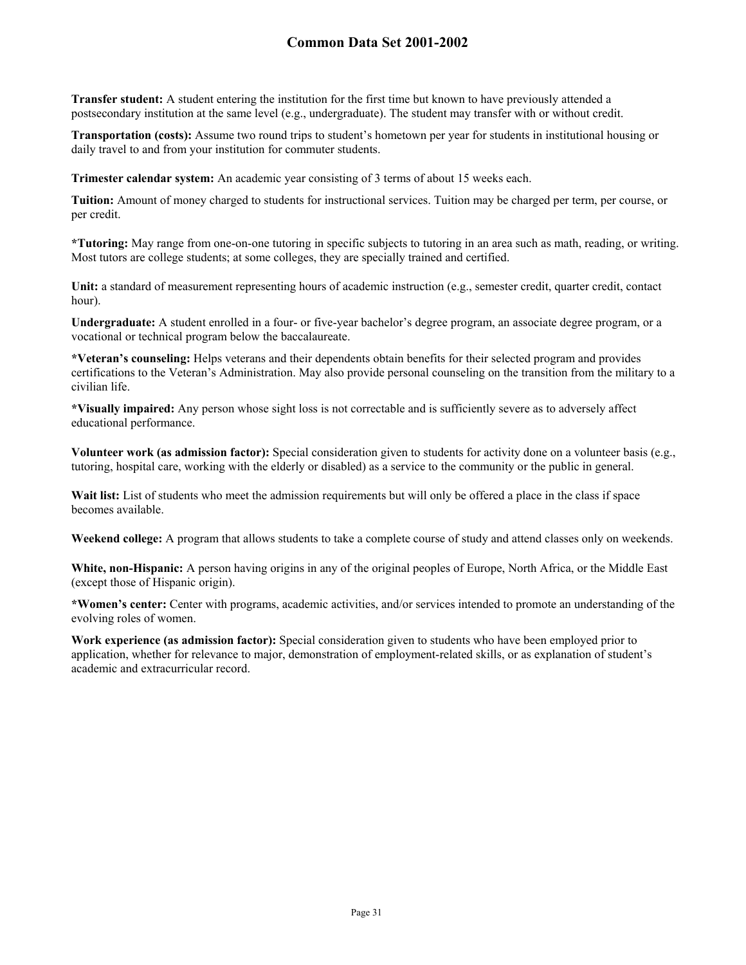**Transfer student:** A student entering the institution for the first time but known to have previously attended a postsecondary institution at the same level (e.g., undergraduate). The student may transfer with or without credit.

**Transportation (costs):** Assume two round trips to student's hometown per year for students in institutional housing or daily travel to and from your institution for commuter students.

**Trimester calendar system:** An academic year consisting of 3 terms of about 15 weeks each.

**Tuition:** Amount of money charged to students for instructional services. Tuition may be charged per term, per course, or per credit.

**\*Tutoring:** May range from one-on-one tutoring in specific subjects to tutoring in an area such as math, reading, or writing. Most tutors are college students; at some colleges, they are specially trained and certified.

Unit: a standard of measurement representing hours of academic instruction (e.g., semester credit, quarter credit, contact hour).

**Undergraduate:** A student enrolled in a four- or five-year bachelor's degree program, an associate degree program, or a vocational or technical program below the baccalaureate.

**\*Veteran's counseling:** Helps veterans and their dependents obtain benefits for their selected program and provides certifications to the Veteran's Administration. May also provide personal counseling on the transition from the military to a civilian life.

**\*Visually impaired:** Any person whose sight loss is not correctable and is sufficiently severe as to adversely affect educational performance.

**Volunteer work (as admission factor):** Special consideration given to students for activity done on a volunteer basis (e.g., tutoring, hospital care, working with the elderly or disabled) as a service to the community or the public in general.

Wait list: List of students who meet the admission requirements but will only be offered a place in the class if space becomes available.

**Weekend college:** A program that allows students to take a complete course of study and attend classes only on weekends.

**White, non-Hispanic:** A person having origins in any of the original peoples of Europe, North Africa, or the Middle East (except those of Hispanic origin).

**\*Women's center:** Center with programs, academic activities, and/or services intended to promote an understanding of the evolving roles of women.

**Work experience (as admission factor):** Special consideration given to students who have been employed prior to application, whether for relevance to major, demonstration of employment-related skills, or as explanation of student's academic and extracurricular record.